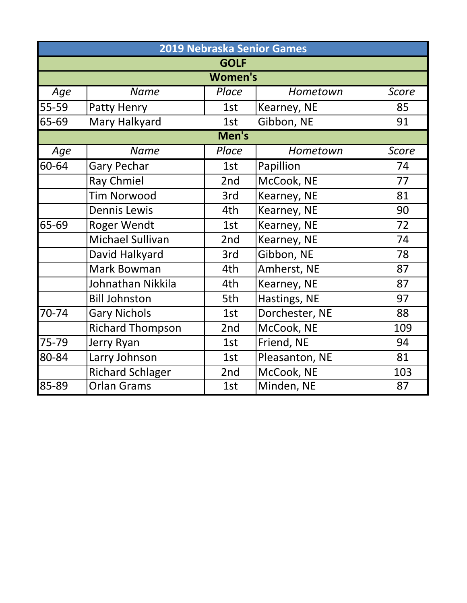|       | 2019 Nebraska Senior Games |             |                |              |  |  |
|-------|----------------------------|-------------|----------------|--------------|--|--|
|       |                            | <b>GOLF</b> |                |              |  |  |
|       | <b>Women's</b>             |             |                |              |  |  |
| Age   | <b>Name</b>                | Place       | Hometown       | Score        |  |  |
| 55-59 | Patty Henry                | 1st         | Kearney, NE    | 85           |  |  |
| 65-69 | Mary Halkyard              | 1st         | Gibbon, NE     | 91           |  |  |
|       |                            | Men's       |                |              |  |  |
| Age   | <b>Name</b>                | Place       | Hometown       | <b>Score</b> |  |  |
| 60-64 | <b>Gary Pechar</b>         | 1st         | Papillion      | 74           |  |  |
|       | <b>Ray Chmiel</b>          | 2nd         | McCook, NE     | 77           |  |  |
|       | <b>Tim Norwood</b>         | 3rd         | Kearney, NE    | 81           |  |  |
|       | <b>Dennis Lewis</b>        | 4th         | Kearney, NE    | 90           |  |  |
| 65-69 | Roger Wendt                | 1st         | Kearney, NE    | 72           |  |  |
|       | <b>Michael Sullivan</b>    | 2nd         | Kearney, NE    | 74           |  |  |
|       | David Halkyard             | 3rd         | Gibbon, NE     | 78           |  |  |
|       | <b>Mark Bowman</b>         | 4th         | Amherst, NE    | 87           |  |  |
|       | Johnathan Nikkila          | 4th         | Kearney, NE    | 87           |  |  |
|       | <b>Bill Johnston</b>       | 5th         | Hastings, NE   | 97           |  |  |
| 70-74 | <b>Gary Nichols</b>        | 1st         | Dorchester, NE | 88           |  |  |
|       | <b>Richard Thompson</b>    | 2nd         | McCook, NE     | 109          |  |  |
| 75-79 | Jerry Ryan                 | 1st         | Friend, NE     | 94           |  |  |
| 80-84 | Larry Johnson              | 1st         | Pleasanton, NE | 81           |  |  |
|       | <b>Richard Schlager</b>    | 2nd         | McCook, NE     | 103          |  |  |
| 85-89 | <b>Orlan Grams</b>         | 1st         | Minden, NE     | 87           |  |  |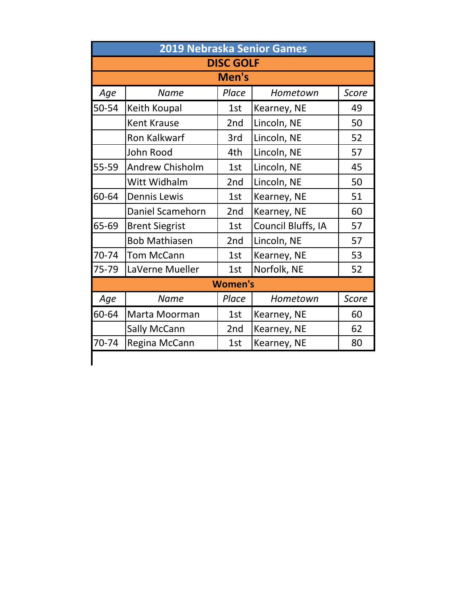|       | <b>2019 Nebraska Senior Games</b> |                  |                    |       |  |
|-------|-----------------------------------|------------------|--------------------|-------|--|
|       |                                   | <b>DISC GOLF</b> |                    |       |  |
| Men's |                                   |                  |                    |       |  |
| Age   | <b>Name</b>                       | Place            | Hometown           | Score |  |
| 50-54 | Keith Koupal                      | 1st              | Kearney, NE        | 49    |  |
|       | <b>Kent Krause</b>                | 2nd              | Lincoln, NE        | 50    |  |
|       | <b>Ron Kalkwarf</b>               | 3rd              | Lincoln, NE        | 52    |  |
|       | John Rood                         | 4th              | Lincoln, NE        | 57    |  |
| 55-59 | Andrew Chisholm                   | 1st              | Lincoln, NE        | 45    |  |
|       | Witt Widhalm                      | 2nd              | Lincoln, NE        | 50    |  |
| 60-64 | <b>Dennis Lewis</b>               | 1st              | Kearney, NE        | 51    |  |
|       | Daniel Scamehorn                  | 2nd              | Kearney, NE        | 60    |  |
| 65-69 | <b>Brent Siegrist</b>             | 1st              | Council Bluffs, IA | 57    |  |
|       | <b>Bob Mathiasen</b>              | 2nd              | Lincoln, NE        | 57    |  |
| 70-74 | <b>Tom McCann</b>                 | 1st              | Kearney, NE        | 53    |  |
| 75-79 | LaVerne Mueller                   | 1st              | Norfolk, NE        | 52    |  |
|       |                                   | <b>Women's</b>   |                    |       |  |
| Age   | Name                              | Place            | Hometown           | Score |  |
| 60-64 | Marta Moorman                     | 1st              | Kearney, NE        | 60    |  |
|       | <b>Sally McCann</b>               | 2nd              | Kearney, NE        | 62    |  |
| 70-74 | Regina McCann                     | 1st              | Kearney, NE        | 80    |  |
|       |                                   |                  |                    |       |  |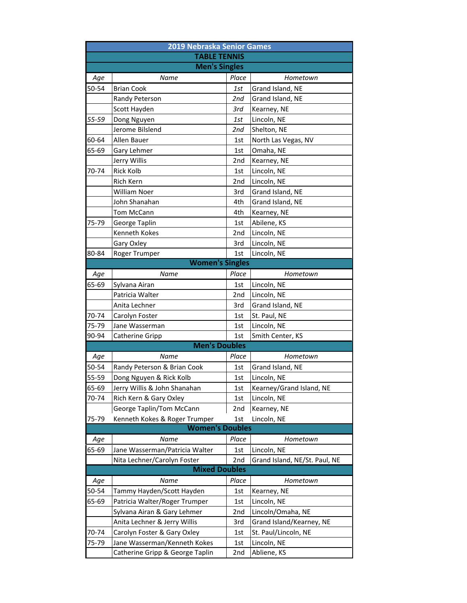|       | <b>2019 Nebraska Senior Games</b> |       |                               |  |  |  |
|-------|-----------------------------------|-------|-------------------------------|--|--|--|
|       | <b>TABLE TENNIS</b>               |       |                               |  |  |  |
|       | <b>Men's Singles</b>              |       |                               |  |  |  |
| Age   | Name                              | Place | Hometown                      |  |  |  |
| 50-54 | <b>Brian Cook</b>                 | 1st   | Grand Island, NE              |  |  |  |
|       | Randy Peterson                    | 2nd   | Grand Island, NE              |  |  |  |
|       | Scott Hayden                      | 3rd   | Kearney, NE                   |  |  |  |
| 55-59 | Dong Nguyen                       | 1st   | Lincoln, NE                   |  |  |  |
|       | Jerome Bilslend                   | 2nd   | Shelton, NE                   |  |  |  |
| 60-64 | <b>Allen Bauer</b>                | 1st   | North Las Vegas, NV           |  |  |  |
| 65-69 | Gary Lehmer                       | 1st   | Omaha, NE                     |  |  |  |
|       | Jerry Willis                      | 2nd   | Kearney, NE                   |  |  |  |
| 70-74 | <b>Rick Kolb</b>                  | 1st   | Lincoln, NE                   |  |  |  |
|       | <b>Rich Kern</b>                  | 2nd   | Lincoln, NE                   |  |  |  |
|       | <b>William Noer</b>               | 3rd   | Grand Island, NE              |  |  |  |
|       | John Shanahan                     | 4th   | Grand Island, NE              |  |  |  |
|       | Tom McCann                        | 4th   | Kearney, NE                   |  |  |  |
| 75-79 | George Taplin                     | 1st   | Abilene, KS                   |  |  |  |
|       | <b>Kenneth Kokes</b>              | 2nd   | Lincoln, NE                   |  |  |  |
|       | Gary Oxley                        | 3rd   | Lincoln, NE                   |  |  |  |
| 80-84 | Roger Trumper                     | 1st   | Lincoln, NE                   |  |  |  |
|       | <b>Women's Singles</b>            |       |                               |  |  |  |
| Age   | Name                              | Place | Hometown                      |  |  |  |
| 65-69 | Sylvana Airan                     | 1st   | Lincoln, NE                   |  |  |  |
|       | Patricia Walter                   | 2nd   | Lincoln, NE                   |  |  |  |
|       | Anita Lechner                     | 3rd   | Grand Island, NE              |  |  |  |
| 70-74 | Carolyn Foster                    | 1st   | St. Paul, NE                  |  |  |  |
| 75-79 | Jane Wasserman                    | 1st   | Lincoln, NE                   |  |  |  |
| 90-94 | Catherine Gripp                   | 1st   | Smith Center, KS              |  |  |  |
|       | <b>Men's Doubles</b>              |       |                               |  |  |  |
| Age   | Name                              | Place | Hometown                      |  |  |  |
| 50-54 | Randy Peterson & Brian Cook       | 1st   | Grand Island, NE              |  |  |  |
| 55-59 | Dong Nguyen & Rick Kolb           | 1st   | Lincoln, NE                   |  |  |  |
| 65-69 | Jerry Willis & John Shanahan      | 1st   | Kearney/Grand Island, NE      |  |  |  |
| 70-74 | Rich Kern & Gary Oxley            | 1st   | Lincoln, NE                   |  |  |  |
|       | George Taplin/Tom McCann          | 2nd   | Kearney, NE                   |  |  |  |
| 75-79 | Kenneth Kokes & Roger Trumper     | 1st   | Lincoln, NE                   |  |  |  |
|       | <b>Women's Doubles</b>            |       |                               |  |  |  |
| Age   | Name                              | Place | Hometown                      |  |  |  |
| 65-69 | Jane Wasserman/Patricia Walter    | 1st   | Lincoln, NE                   |  |  |  |
|       | Nita Lechner/Carolyn Foster       | 2nd   | Grand Island, NE/St. Paul, NE |  |  |  |
|       | <b>Mixed Doubles</b>              |       |                               |  |  |  |
| Age   | Name                              | Place | Hometown                      |  |  |  |
| 50-54 | Tammy Hayden/Scott Hayden         | 1st   | Kearney, NE                   |  |  |  |
| 65-69 | Patricia Walter/Roger Trumper     | 1st   | Lincoln, NE                   |  |  |  |
|       | Sylvana Airan & Gary Lehmer       | 2nd   | Lincoln/Omaha, NE             |  |  |  |
|       | Anita Lechner & Jerry Willis      | 3rd   | Grand Island/Kearney, NE      |  |  |  |
| 70-74 | Carolyn Foster & Gary Oxley       | 1st   | St. Paul/Lincoln, NE          |  |  |  |
| 75-79 | Jane Wasserman/Kenneth Kokes      | 1st   | Lincoln, NE                   |  |  |  |
|       | Catherine Gripp & George Taplin   | 2nd   | Abliene, KS                   |  |  |  |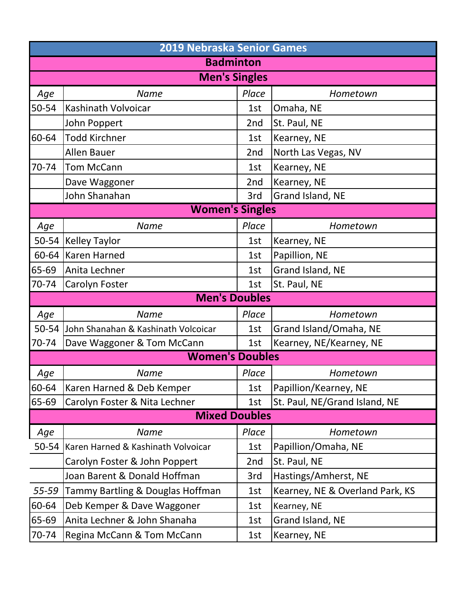|       | 2019 Nebraska Senior Games          |       |                                 |  |  |  |
|-------|-------------------------------------|-------|---------------------------------|--|--|--|
|       | <b>Badminton</b>                    |       |                                 |  |  |  |
|       | <b>Men's Singles</b>                |       |                                 |  |  |  |
| Age   | <b>Name</b>                         | Place | Hometown                        |  |  |  |
| 50-54 | Kashinath Volvoicar                 | 1st   | Omaha, NE                       |  |  |  |
|       | John Poppert                        | 2nd   | St. Paul, NE                    |  |  |  |
| 60-64 | <b>Todd Kirchner</b>                | 1st   | Kearney, NE                     |  |  |  |
|       | <b>Allen Bauer</b>                  | 2nd   | North Las Vegas, NV             |  |  |  |
| 70-74 | <b>Tom McCann</b>                   | 1st   | Kearney, NE                     |  |  |  |
|       | Dave Waggoner                       | 2nd   | Kearney, NE                     |  |  |  |
|       | John Shanahan                       | 3rd   | Grand Island, NE                |  |  |  |
|       | <b>Women's Singles</b>              |       |                                 |  |  |  |
| Age   | <b>Name</b>                         | Place | Hometown                        |  |  |  |
| 50-54 | <b>Kelley Taylor</b>                | 1st   | Kearney, NE                     |  |  |  |
| 60-64 | Karen Harned                        | 1st   | Papillion, NE                   |  |  |  |
| 65-69 | Anita Lechner                       | 1st   | Grand Island, NE                |  |  |  |
| 70-74 | Carolyn Foster                      | 1st   | St. Paul, NE                    |  |  |  |
|       | <b>Men's Doubles</b>                |       |                                 |  |  |  |
| Age   | <b>Name</b>                         | Place | Hometown                        |  |  |  |
| 50-54 | John Shanahan & Kashinath Volcoicar | 1st   | Grand Island/Omaha, NE          |  |  |  |
| 70-74 | Dave Waggoner & Tom McCann          | 1st   | Kearney, NE/Kearney, NE         |  |  |  |
|       | <b>Women's Doubles</b>              |       |                                 |  |  |  |
| Age   | <b>Name</b>                         | Place | Hometown                        |  |  |  |
| 60-64 | Karen Harned & Deb Kemper           | 1st   | Papillion/Kearney, NE           |  |  |  |
| 65-69 | Carolyn Foster & Nita Lechner       | 1st   | St. Paul, NE/Grand Island, NE   |  |  |  |
|       | <b>Mixed Doubles</b>                |       |                                 |  |  |  |
| Age   | <b>Name</b>                         | Place | Hometown                        |  |  |  |
| 50-54 | Karen Harned & Kashinath Volvoicar  | 1st   | Papillion/Omaha, NE             |  |  |  |
|       | Carolyn Foster & John Poppert       | 2nd   | St. Paul, NE                    |  |  |  |
|       | Joan Barent & Donald Hoffman        | 3rd   | Hastings/Amherst, NE            |  |  |  |
| 55-59 | Tammy Bartling & Douglas Hoffman    | 1st   | Kearney, NE & Overland Park, KS |  |  |  |
| 60-64 | Deb Kemper & Dave Waggoner          | 1st   | Kearney, NE                     |  |  |  |
| 65-69 | Anita Lechner & John Shanaha        | 1st   | Grand Island, NE                |  |  |  |
| 70-74 | Regina McCann & Tom McCann          | 1st   | Kearney, NE                     |  |  |  |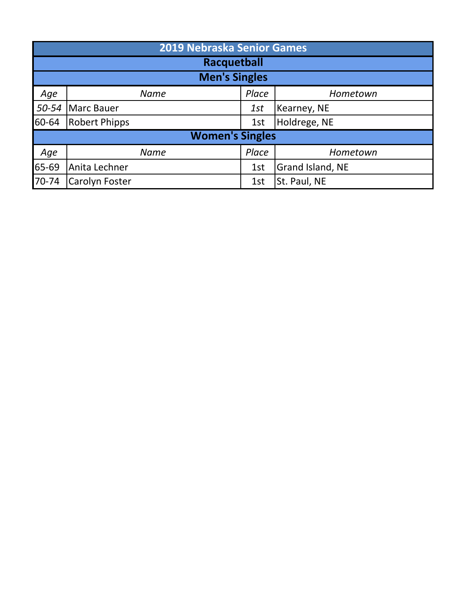|       | 2019 Nebraska Senior Games                  |                        |                  |  |  |
|-------|---------------------------------------------|------------------------|------------------|--|--|
|       |                                             | Racquetball            |                  |  |  |
|       |                                             | <b>Men's Singles</b>   |                  |  |  |
| Age   | <b>Name</b>                                 | Place                  | Hometown         |  |  |
| 50-54 | Marc Bauer                                  | 1st                    | Kearney, NE      |  |  |
| 60-64 | Holdrege, NE<br><b>Robert Phipps</b><br>1st |                        |                  |  |  |
|       |                                             | <b>Women's Singles</b> |                  |  |  |
| Age   | <b>Name</b>                                 | Place                  | Hometown         |  |  |
| 65-69 | Anita Lechner                               | 1st                    | Grand Island, NE |  |  |
| 70-74 | <b>Carolyn Foster</b>                       | 1st                    | St. Paul, NE     |  |  |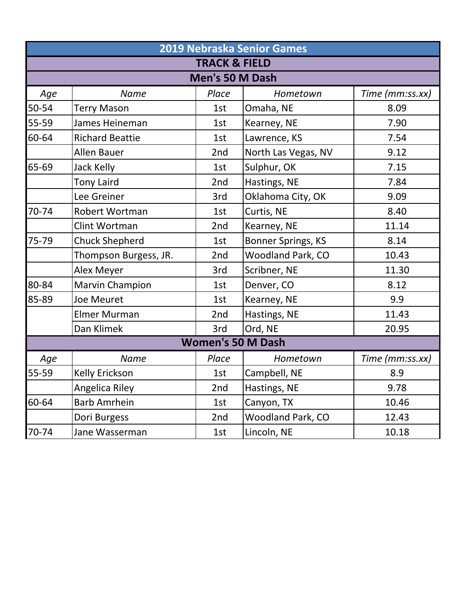|       | 2019 Nebraska Senior Games |                          |                     |                 |  |  |
|-------|----------------------------|--------------------------|---------------------|-----------------|--|--|
|       |                            | <b>TRACK &amp; FIELD</b> |                     |                 |  |  |
|       |                            | Men's 50 M Dash          |                     |                 |  |  |
| Age   | <b>Name</b>                | Place                    | Hometown            | Time (mm:ss.xx) |  |  |
| 50-54 | <b>Terry Mason</b>         | 1st                      | Omaha, NE           | 8.09            |  |  |
| 55-59 | James Heineman             | 1st                      | Kearney, NE         | 7.90            |  |  |
| 60-64 | <b>Richard Beattie</b>     | 1st                      | Lawrence, KS        | 7.54            |  |  |
|       | <b>Allen Bauer</b>         | 2nd                      | North Las Vegas, NV | 9.12            |  |  |
| 65-69 | Jack Kelly                 | 1st                      | Sulphur, OK         | 7.15            |  |  |
|       | <b>Tony Laird</b>          | 2nd                      | Hastings, NE        | 7.84            |  |  |
|       | Lee Greiner                | 3rd                      | Oklahoma City, OK   | 9.09            |  |  |
| 70-74 | Robert Wortman             | 1st                      | Curtis, NE          | 8.40            |  |  |
|       | Clint Wortman              | 2nd                      | Kearney, NE         | 11.14           |  |  |
| 75-79 | <b>Chuck Shepherd</b>      | 1st                      | Bonner Springs, KS  | 8.14            |  |  |
|       | Thompson Burgess, JR.      | 2nd                      | Woodland Park, CO   | 10.43           |  |  |
|       | Alex Meyer                 | 3rd                      | Scribner, NE        | 11.30           |  |  |
| 80-84 | <b>Marvin Champion</b>     | 1st                      | Denver, CO          | 8.12            |  |  |
| 85-89 | <b>Joe Meuret</b>          | 1st                      | Kearney, NE         | 9.9             |  |  |
|       | <b>Elmer Murman</b>        | 2nd                      | Hastings, NE        | 11.43           |  |  |
|       | Dan Klimek                 | 3rd                      | Ord, NE             | 20.95           |  |  |
|       |                            | <b>Women's 50 M Dash</b> |                     |                 |  |  |
| Age   | <b>Name</b>                | Place                    | Hometown            | Time (mm:ss.xx) |  |  |
| 55-59 | Kelly Erickson             | 1st                      | Campbell, NE        | 8.9             |  |  |
|       | Angelica Riley             | 2nd                      | Hastings, NE        | 9.78            |  |  |
| 60-64 | <b>Barb Amrhein</b>        | 1st                      | Canyon, TX          | 10.46           |  |  |
|       | Dori Burgess               | 2nd                      | Woodland Park, CO   | 12.43           |  |  |
| 70-74 | Jane Wasserman             | 1st                      | Lincoln, NE         | 10.18           |  |  |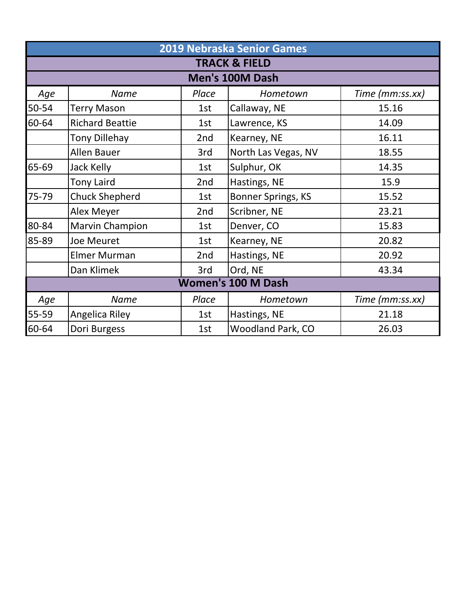|                           | 2019 Nebraska Senior Games |       |                          |                 |  |  |
|---------------------------|----------------------------|-------|--------------------------|-----------------|--|--|
|                           |                            |       | <b>TRACK &amp; FIELD</b> |                 |  |  |
|                           |                            |       | Men's 100M Dash          |                 |  |  |
| Age                       | Name                       | Place | Hometown                 | Time (mm:ss.xx) |  |  |
| 50-54                     | <b>Terry Mason</b>         | 1st   | Callaway, NE             | 15.16           |  |  |
| 60-64                     | <b>Richard Beattie</b>     | 1st   | Lawrence, KS             | 14.09           |  |  |
|                           | <b>Tony Dillehay</b>       | 2nd   | Kearney, NE              | 16.11           |  |  |
|                           | <b>Allen Bauer</b>         | 3rd   | North Las Vegas, NV      | 18.55           |  |  |
| 65-69                     | Jack Kelly                 | 1st   | Sulphur, OK              | 14.35           |  |  |
|                           | <b>Tony Laird</b>          | 2nd   | Hastings, NE             | 15.9            |  |  |
| 75-79                     | <b>Chuck Shepherd</b>      | 1st   | Bonner Springs, KS       | 15.52           |  |  |
|                           | Alex Meyer                 | 2nd   | Scribner, NE             | 23.21           |  |  |
| 80-84                     | <b>Marvin Champion</b>     | 1st   | Denver, CO               | 15.83           |  |  |
| 85-89                     | Joe Meuret                 | 1st   | Kearney, NE              | 20.82           |  |  |
|                           | <b>Elmer Murman</b>        | 2nd   | Hastings, NE             | 20.92           |  |  |
|                           | Dan Klimek                 | 3rd   | Ord, NE                  | 43.34           |  |  |
| <b>Women's 100 M Dash</b> |                            |       |                          |                 |  |  |
| Age                       | <b>Name</b>                | Place | Hometown                 | Time (mm:ss.xx) |  |  |
| 55-59                     | Angelica Riley             | 1st   | Hastings, NE             | 21.18           |  |  |
| 60-64                     | Dori Burgess               | 1st   | <b>Woodland Park, CO</b> | 26.03           |  |  |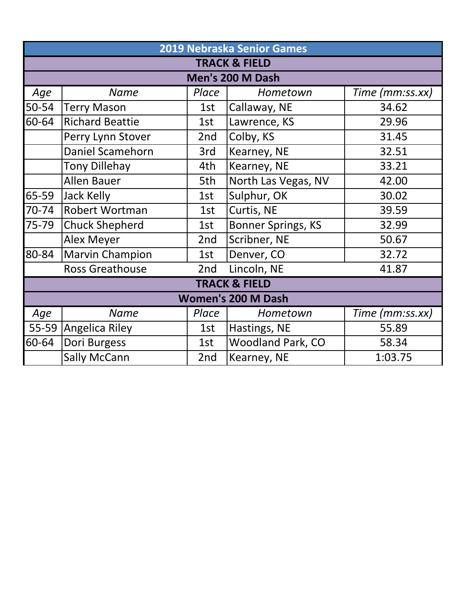|           |                        |       | 2019 Nebraska Senior Games |                 |
|-----------|------------------------|-------|----------------------------|-----------------|
|           |                        |       | <b>TRACK &amp; FIELD</b>   |                 |
|           |                        |       | Men's 200 M Dash           |                 |
| Age       | <b>Name</b>            | Place | Hometown                   | Time (mm:ss.xx) |
| 50-54     | <b>Terry Mason</b>     | 1st   | Callaway, NE               | 34.62           |
| 60-64     | <b>Richard Beattie</b> | 1st   | Lawrence, KS               | 29.96           |
|           | Perry Lynn Stover      | 2nd   | Colby, KS                  | 31.45           |
|           | Daniel Scamehorn       | 3rd   | Kearney, NE                | 32.51           |
|           | <b>Tony Dillehay</b>   | 4th   | Kearney, NE                | 33.21           |
|           | <b>Allen Bauer</b>     | 5th   | North Las Vegas, NV        | 42.00           |
| 65-59     | Jack Kelly             | 1st   | Sulphur, OK                | 30.02           |
| $70 - 74$ | Robert Wortman         | 1st   | Curtis, NE                 | 39.59           |
| 75-79     | <b>Chuck Shepherd</b>  | 1st   | <b>Bonner Springs, KS</b>  | 32.99           |
|           | <b>Alex Meyer</b>      | 2nd   | Scribner, NE               | 50.67           |
| 80-84     | <b>Marvin Champion</b> | 1st   | Denver, CO                 | 32.72           |
|           | <b>Ross Greathouse</b> | 2nd   | Lincoln, NE                | 41.87           |
|           |                        |       | <b>TRACK &amp; FIELD</b>   |                 |
|           |                        |       | <b>Women's 200 M Dash</b>  |                 |
| Age       | <b>Name</b>            | Place | Hometown                   | Time (mm:ss.xx) |
| 55-59     | Angelica Riley         | 1st   | Hastings, NE               | 55.89           |
| 60-64     | Dori Burgess           | 1st   | <b>Woodland Park, CO</b>   | 58.34           |
|           | <b>Sally McCann</b>    | 2nd   | Kearney, NE                | 1:03.75         |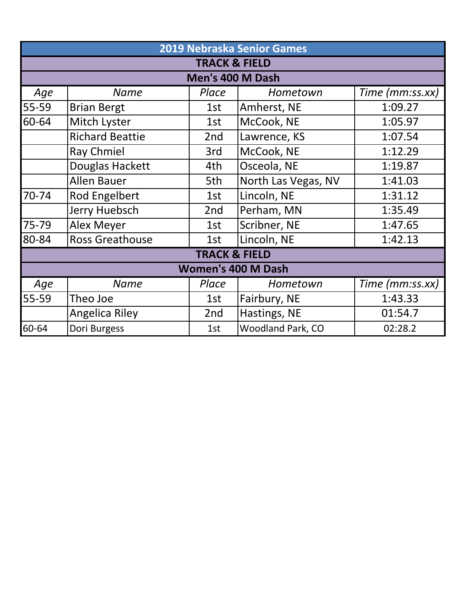|       |                        |                          | 2019 Nebraska Senior Games |                 |
|-------|------------------------|--------------------------|----------------------------|-----------------|
|       |                        | <b>TRACK &amp; FIELD</b> |                            |                 |
|       |                        | Men's 400 M Dash         |                            |                 |
| Age   | <b>Name</b>            | Place                    | Hometown                   | Time (mm:ss.xx) |
| 55-59 | <b>Brian Bergt</b>     | 1st                      | Amherst, NE                | 1:09.27         |
| 60-64 | Mitch Lyster           | 1st                      | McCook, NE                 | 1:05.97         |
|       | <b>Richard Beattie</b> | 2nd                      | Lawrence, KS               | 1:07.54         |
|       | <b>Ray Chmiel</b>      | 3rd                      | McCook, NE                 | 1:12.29         |
|       | Douglas Hackett        | 4th                      | Osceola, NE                | 1:19.87         |
|       | <b>Allen Bauer</b>     | 5th                      | North Las Vegas, NV        | 1:41.03         |
| 70-74 | <b>Rod Engelbert</b>   | 1st                      | Lincoln, NE                | 1:31.12         |
|       | <b>Jerry Huebsch</b>   | 2nd                      | Perham, MN                 | 1:35.49         |
| 75-79 | <b>Alex Meyer</b>      | 1st                      | Scribner, NE               | 1:47.65         |
| 80-84 | <b>Ross Greathouse</b> | 1st                      | Lincoln, NE                | 1:42.13         |
|       |                        | <b>TRACK &amp; FIELD</b> |                            |                 |
|       |                        |                          | <b>Women's 400 M Dash</b>  |                 |
| Age   | <b>Name</b>            | Place                    | Hometown                   | Time (mm:ss.xx) |
| 55-59 | Theo Joe               | 1st                      | Fairbury, NE               | 1:43.33         |
|       | Angelica Riley         | 2nd                      | Hastings, NE               | 01:54.7         |
| 60-64 | Dori Burgess           | 1st                      | <b>Woodland Park, CO</b>   | 02:28.2         |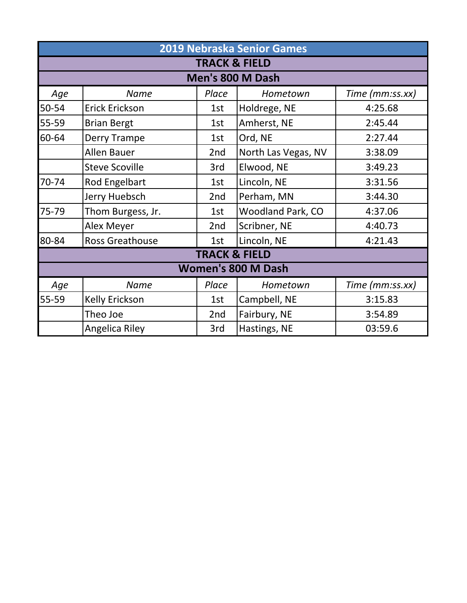|       |                           |                          | <b>2019 Nebraska Senior Games</b> |                 |  |
|-------|---------------------------|--------------------------|-----------------------------------|-----------------|--|
|       |                           | <b>TRACK &amp; FIELD</b> |                                   |                 |  |
|       |                           |                          | Men's 800 M Dash                  |                 |  |
| Age   | <b>Name</b>               | Place                    | Hometown                          | Time (mm:ss.xx) |  |
| 50-54 | Erick Erickson            | 1st                      | Holdrege, NE                      | 4:25.68         |  |
| 55-59 | <b>Brian Bergt</b>        | 1st                      | Amherst, NE                       | 2:45.44         |  |
| 60-64 | Derry Trampe              | 1st                      | Ord, NE                           | 2:27.44         |  |
|       | <b>Allen Bauer</b>        | 2 <sub>nd</sub>          | North Las Vegas, NV               | 3:38.09         |  |
|       | <b>Steve Scoville</b>     | 3rd                      | Elwood, NE                        | 3:49.23         |  |
| 70-74 | Rod Engelbart             | 1st                      | Lincoln, NE                       | 3:31.56         |  |
|       | Jerry Huebsch             | 2nd                      | Perham, MN                        | 3:44.30         |  |
| 75-79 | Thom Burgess, Jr.         | 1st                      | <b>Woodland Park, CO</b>          | 4:37.06         |  |
|       | Alex Meyer                | 2nd                      | Scribner, NE                      | 4:40.73         |  |
| 80-84 | <b>Ross Greathouse</b>    | 1st                      | Lincoln, NE                       | 4:21.43         |  |
|       |                           | <b>TRACK &amp; FIELD</b> |                                   |                 |  |
|       | <b>Women's 800 M Dash</b> |                          |                                   |                 |  |
| Age   | <b>Name</b>               | Place                    | Hometown                          | Time (mm:ss.xx) |  |
| 55-59 | Kelly Erickson            | 1st                      | Campbell, NE                      | 3:15.83         |  |
|       | Theo Joe                  | 2nd                      | Fairbury, NE                      | 3:54.89         |  |
|       | <b>Angelica Riley</b>     | 3rd                      | Hastings, NE                      | 03:59.6         |  |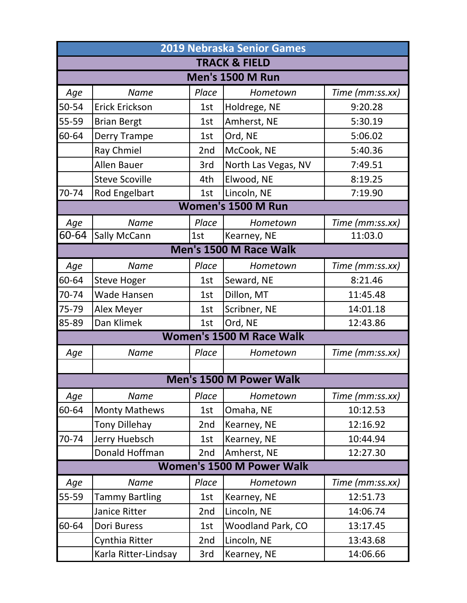|                                  | <b>2019 Nebraska Senior Games</b> |       |                                 |                 |  |  |
|----------------------------------|-----------------------------------|-------|---------------------------------|-----------------|--|--|
|                                  |                                   |       | <b>TRACK &amp; FIELD</b>        |                 |  |  |
|                                  |                                   |       | <b>Men's 1500 M Run</b>         |                 |  |  |
| Age                              | <b>Name</b>                       | Place | Hometown                        | Time (mm:ss.xx) |  |  |
| 50-54                            | Erick Erickson                    | 1st   | Holdrege, NE                    | 9:20.28         |  |  |
| 55-59                            | <b>Brian Bergt</b>                | 1st   | Amherst, NE                     | 5:30.19         |  |  |
| 60-64                            | Derry Trampe                      | 1st   | Ord, NE                         | 5:06.02         |  |  |
|                                  | Ray Chmiel                        | 2nd   | McCook, NE                      | 5:40.36         |  |  |
|                                  | <b>Allen Bauer</b>                | 3rd   | North Las Vegas, NV             | 7:49.51         |  |  |
|                                  | <b>Steve Scoville</b>             | 4th   | Elwood, NE                      | 8:19.25         |  |  |
| 70-74                            | Rod Engelbart                     | 1st   | Lincoln, NE                     | 7:19.90         |  |  |
|                                  |                                   |       | <b>Women's 1500 M Run</b>       |                 |  |  |
| Age                              | <b>Name</b>                       | Place | Hometown                        | Time (mm:ss.xx) |  |  |
| 60-64                            | Sally McCann                      | 1st   | Kearney, NE                     | 11:03.0         |  |  |
|                                  |                                   |       | Men's 1500 M Race Walk          |                 |  |  |
| Age                              | <b>Name</b>                       | Place | Hometown                        | Time (mm:ss.xx) |  |  |
| 60-64                            | <b>Steve Hoger</b>                | 1st   | Seward, NE                      | 8:21.46         |  |  |
| 70-74                            | <b>Wade Hansen</b>                | 1st   | Dillon, MT                      | 11:45.48        |  |  |
| 75-79                            | Alex Meyer                        | 1st   | Scribner, NE                    | 14:01.18        |  |  |
| 85-89                            | Dan Klimek                        | 1st   | Ord, NE                         | 12:43.86        |  |  |
|                                  |                                   |       | <b>Women's 1500 M Race Walk</b> |                 |  |  |
| Age                              | <b>Name</b>                       | Place | Hometown                        | Time (mm:ss.xx) |  |  |
|                                  |                                   |       |                                 |                 |  |  |
|                                  |                                   |       | <b>Men's 1500 M Power Walk</b>  |                 |  |  |
| Age                              | <b>Name</b>                       | Place | Hometown                        | Time (mm:ss.xx) |  |  |
| 60-64                            | <b>Monty Mathews</b>              | 1st   | Omaha, NE                       | 10:12.53        |  |  |
|                                  | <b>Tony Dillehay</b>              | 2nd   | Kearney, NE                     | 12:16.92        |  |  |
| 70-74                            | Jerry Huebsch                     | 1st   | Kearney, NE                     | 10:44.94        |  |  |
|                                  | Donald Hoffman                    | 2nd   | Amherst, NE                     | 12:27.30        |  |  |
| <b>Women's 1500 M Power Walk</b> |                                   |       |                                 |                 |  |  |
| Age                              | <b>Name</b>                       | Place | Hometown                        | Time (mm:ss.xx) |  |  |
| 55-59                            | <b>Tammy Bartling</b>             | 1st   | Kearney, NE                     | 12:51.73        |  |  |
|                                  | <b>Janice Ritter</b>              | 2nd   | Lincoln, NE                     | 14:06.74        |  |  |
| 60-64                            | Dori Buress                       | 1st   | <b>Woodland Park, CO</b>        | 13:17.45        |  |  |
|                                  | Cynthia Ritter                    | 2nd   | Lincoln, NE                     | 13:43.68        |  |  |
|                                  | Karla Ritter-Lindsay              | 3rd   | Kearney, NE                     | 14:06.66        |  |  |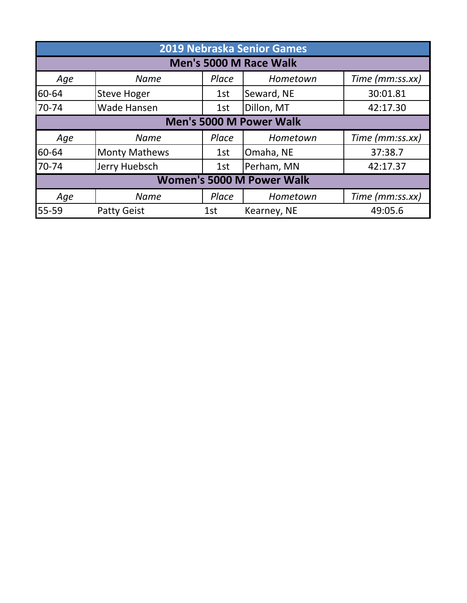| <b>2019 Nebraska Senior Games</b> |                                  |       |                         |                 |  |
|-----------------------------------|----------------------------------|-------|-------------------------|-----------------|--|
| Men's 5000 M Race Walk            |                                  |       |                         |                 |  |
| Age                               | <b>Name</b>                      | Place | Hometown                | Time (mm:ss.xx) |  |
| 60-64                             | <b>Steve Hoger</b>               | 1st   | Seward, NE              | 30:01.81        |  |
| 70-74                             | Wade Hansen                      | 1st   | Dillon, MT              | 42:17.30        |  |
|                                   |                                  |       | Men's 5000 M Power Walk |                 |  |
| Age                               | <b>Name</b>                      | Place | Hometown                | Time (mm:ss.xx) |  |
| 60-64                             | <b>Monty Mathews</b>             | 1st   | Omaha, NE               | 37:38.7         |  |
| 70-74                             | Jerry Huebsch                    | 1st   | Perham, MN              | 42:17.37        |  |
|                                   | <b>Women's 5000 M Power Walk</b> |       |                         |                 |  |
| Age                               | <b>Name</b>                      | Place | Hometown                | Time (mm:ss.xx) |  |
| 55-59                             | <b>Patty Geist</b>               | 1st   | Kearney, NE             | 49:05.6         |  |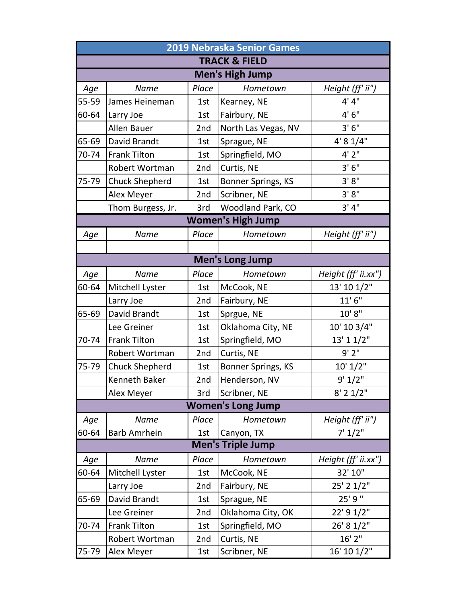|                        | <b>2019 Nebraska Senior Games</b> |                            |                          |                     |  |  |
|------------------------|-----------------------------------|----------------------------|--------------------------|---------------------|--|--|
|                        |                                   |                            | <b>TRACK &amp; FIELD</b> |                     |  |  |
| <b>Men's High Jump</b> |                                   |                            |                          |                     |  |  |
| Age                    | Name                              | Place                      | Hometown                 | Height (ff' ii")    |  |  |
| 55-59                  | James Heineman                    | 1st                        | Kearney, NE              | 4' 4"               |  |  |
| 60-64                  | Larry Joe                         | 1st                        | Fairbury, NE             | 4'6''               |  |  |
|                        | Allen Bauer                       | 2nd                        | North Las Vegas, NV      | 3'6''               |  |  |
| 65-69                  | David Brandt                      | 1st                        | Sprague, NE              | 4' 8 1/4"           |  |  |
| 70-74                  | <b>Frank Tilton</b>               | 1st                        | Springfield, MO          | 4'2''               |  |  |
|                        | Robert Wortman                    | 3'6''<br>2nd<br>Curtis, NE |                          |                     |  |  |
| 75-79                  | <b>Chuck Shepherd</b>             | 1st                        | Bonner Springs, KS       | 3'8''               |  |  |
|                        | Alex Meyer                        | 2nd                        | Scribner, NE             | 3' 8''              |  |  |
|                        | Thom Burgess, Jr.                 | 3rd                        | Woodland Park, CO        | 3' 4''              |  |  |
|                        |                                   |                            | <b>Women's High Jump</b> |                     |  |  |
| Age                    | <b>Name</b>                       | Place                      | Hometown                 | Height (ff' ii")    |  |  |
|                        |                                   |                            |                          |                     |  |  |
|                        |                                   |                            | <b>Men's Long Jump</b>   |                     |  |  |
| Age                    | Name                              | Place                      | Hometown                 | Height (ff' ii.xx") |  |  |
| 60-64                  | Mitchell Lyster                   | 1st                        | McCook, NE               | 13' 10 1/2"         |  |  |
|                        | Larry Joe                         | 2nd                        | Fairbury, NE             | 11'6''              |  |  |
| 65-69                  | David Brandt                      | 1st                        | Sprgue, NE               | 10' 8''             |  |  |
|                        | Lee Greiner                       | 1st                        | Oklahoma City, NE        | 10' 10 3/4"         |  |  |
| 70-74                  | <b>Frank Tilton</b>               | 1st                        | Springfield, MO          | 13' 1 1/2"          |  |  |
|                        | Robert Wortman                    | 2nd                        | Curtis, NE               | 9'2"                |  |  |
| 75-79                  | <b>Chuck Shepherd</b>             | 1st                        | Bonner Springs, KS       | 10' 1/2"            |  |  |
|                        | Kenneth Baker                     | 2nd                        | Henderson, NV            | 9' 1/2"             |  |  |
|                        | Alex Meyer                        | 3rd                        | Scribner, NE             | $8'$ 2 $1/2"$       |  |  |
|                        |                                   |                            | <b>Women's Long Jump</b> |                     |  |  |
| Age                    | Name                              | Place                      | Hometown                 | Height (ff' ii")    |  |  |
| 60-64                  | <b>Barb Amrhein</b>               | 1st                        | Canyon, TX               | 7' 1/2"             |  |  |
|                        |                                   |                            | <b>Men's Triple Jump</b> |                     |  |  |
| Age                    | <b>Name</b>                       | Place                      | Hometown                 | Height (ff' ii.xx") |  |  |
| 60-64                  | Mitchell Lyster                   | 1st                        | McCook, NE               | 32' 10"             |  |  |
|                        | Larry Joe                         | 2nd                        | Fairbury, NE             | 25' 2 1/2"          |  |  |
| 65-69                  | David Brandt                      | 1st                        | Sprague, NE              | 25' 9"              |  |  |
|                        | Lee Greiner                       | 2nd                        | Oklahoma City, OK        | 22' 9 1/2"          |  |  |
| 70-74                  | <b>Frank Tilton</b>               | 1st                        | Springfield, MO          | 26' 8 1/2"          |  |  |
|                        | Robert Wortman                    | 2nd                        | Curtis, NE               | 16' 2"              |  |  |
| 75-79                  | Alex Meyer                        | 1st                        | Scribner, NE             | 16' 10 1/2"         |  |  |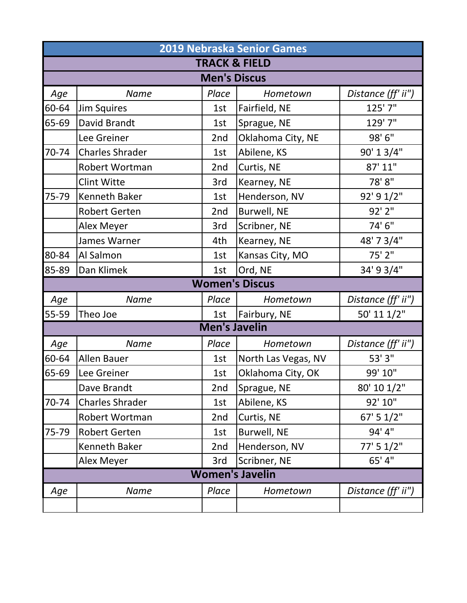| <b>2019 Nebraska Senior Games</b> |                          |                      |                        |                    |  |  |
|-----------------------------------|--------------------------|----------------------|------------------------|--------------------|--|--|
|                                   | <b>TRACK &amp; FIELD</b> |                      |                        |                    |  |  |
|                                   |                          | <b>Men's Discus</b>  |                        |                    |  |  |
| Age                               | <b>Name</b>              | Place                | Hometown               | Distance (ff' ii") |  |  |
| 60-64                             | <b>Jim Squires</b>       | 1st                  | Fairfield, NE          | 125' 7"            |  |  |
| 65-69                             | <b>David Brandt</b>      | 1st                  | Sprague, NE            | 129' 7"            |  |  |
|                                   | Lee Greiner              | 2nd                  | Oklahoma City, NE      | 98' 6"             |  |  |
| 70-74                             | <b>Charles Shrader</b>   | 1st                  | Abilene, KS            | 90' 1 3/4"         |  |  |
|                                   | Robert Wortman           | 2nd                  | Curtis, NE             | 87' 11"            |  |  |
|                                   | <b>Clint Witte</b>       | 3rd                  | Kearney, NE            | 78'8"              |  |  |
| 75-79                             | <b>Kenneth Baker</b>     | 1st                  | Henderson, NV          | 92' 9 1/2"         |  |  |
|                                   | <b>Robert Gerten</b>     | 2nd                  | Burwell, NE            | 92' 2"             |  |  |
|                                   | Alex Meyer               | 3rd                  | Scribner, NE           | 74' 6"             |  |  |
|                                   | James Warner             | 4th                  | Kearney, NE            | 48' 7 3/4"         |  |  |
| 80-84                             | Al Salmon                | 1st                  | Kansas City, MO        | 75' 2"             |  |  |
| 85-89                             | Dan Klimek               | 1st                  | Ord, NE                | 34' 9 3/4"         |  |  |
|                                   |                          |                      | <b>Women's Discus</b>  |                    |  |  |
| Age                               | <b>Name</b>              | Place                | Hometown               | Distance (ff' ii") |  |  |
| 55-59                             | Theo Joe                 | 1st                  | Fairbury, NE           | 50' 11 1/2"        |  |  |
|                                   |                          | <b>Men's Javelin</b> |                        |                    |  |  |
| Age                               | <b>Name</b>              | Place                | Hometown               | Distance (ff' ii") |  |  |
| 60-64                             | Allen Bauer              | 1st                  | North Las Vegas, NV    | 53' 3"             |  |  |
| 65-69                             | Lee Greiner              | 1st                  | Oklahoma City, OK      | 99' 10"            |  |  |
|                                   | Dave Brandt              | 2nd                  | Sprague, NE            | 80' 10 1/2"        |  |  |
| 70-74                             | <b>Charles Shrader</b>   | 1st                  | Abilene, KS            | 92' 10"            |  |  |
|                                   | Robert Wortman           | 2nd                  | Curtis, NE             | 67' 5 1/2"         |  |  |
| 75-79                             | <b>Robert Gerten</b>     | 1st                  | Burwell, NE            | 94' 4"             |  |  |
|                                   | <b>Kenneth Baker</b>     | 2nd                  | Henderson, NV          | 77' 5 1/2"         |  |  |
|                                   | Alex Meyer               | 3rd                  | Scribner, NE           | 65' 4"             |  |  |
|                                   |                          |                      | <b>Women's Javelin</b> |                    |  |  |
| Age                               | <b>Name</b>              | Place                | Hometown               | Distance (ff' ii") |  |  |
|                                   |                          |                      |                        |                    |  |  |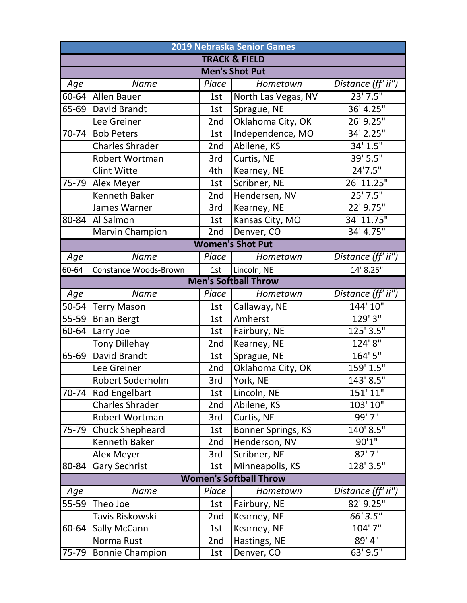| 2019 Nebraska Senior Games |                        |                   |                               |                                   |  |  |  |
|----------------------------|------------------------|-------------------|-------------------------------|-----------------------------------|--|--|--|
|                            |                        |                   | <b>TRACK &amp; FIELD</b>      |                                   |  |  |  |
|                            |                        |                   | <b>Men's Shot Put</b>         |                                   |  |  |  |
| Age                        | <b>Name</b>            | Place             | Hometown                      | Distance (ff' $i\overline{i''}$ ) |  |  |  |
| 60-64                      | <b>Allen Bauer</b>     | 1st               | North Las Vegas, NV           | $23'$ 7.5"                        |  |  |  |
| 65-69                      | David Brandt           | 1st               | Sprague, NE                   | 36' 4.25"                         |  |  |  |
|                            | Lee Greiner            | 2nd               | Oklahoma City, OK             | 26' 9.25"                         |  |  |  |
| 70-74                      | <b>Bob Peters</b>      | 1st               | Independence, MO              | 34' 2.25"                         |  |  |  |
|                            | <b>Charles Shrader</b> | 2nd               | Abilene, KS                   | 34' 1.5"                          |  |  |  |
|                            | Robert Wortman         | 3rd               | Curtis, NE                    | 39' 5.5"                          |  |  |  |
|                            | <b>Clint Witte</b>     | 4th               | Kearney, NE                   | 24'7.5"                           |  |  |  |
| 75-79                      | Alex Meyer             | 1st               | Scribner, NE                  | 26' 11.25"                        |  |  |  |
|                            | Kenneth Baker          | 2nd               | Hendersen, NV                 | 25' 7.5"                          |  |  |  |
|                            | James Warner           | 3rd               | Kearney, NE                   | 22' 9.75"                         |  |  |  |
| 80-84                      | Al Salmon              | 1st               | Kansas City, MO               | 34' 11.75"                        |  |  |  |
|                            | <b>Marvin Champion</b> | $\overline{2}$ nd | Denver, CO                    | 34' 4.75"                         |  |  |  |
|                            |                        |                   | <b>Women's Shot Put</b>       |                                   |  |  |  |
| Age                        | Name                   | Place             | Hometown                      | Distance $(ff'$ ii")              |  |  |  |
| 60-64                      | Constance Woods-Brown  | 1st               | Lincoln, NE                   | 14' 8.25"                         |  |  |  |
|                            |                        |                   | <b>Men's Softball Throw</b>   |                                   |  |  |  |
| Age                        | Name                   | Place             | Hometown                      | Distance (ff' ii")                |  |  |  |
| 50-54                      | <b>Terry Mason</b>     | 1st               | Callaway, NE                  | 144' 10"                          |  |  |  |
| 55-59                      | <b>Brian Bergt</b>     | 1st               | Amherst                       | 129'3''                           |  |  |  |
| 60-64                      | Larry Joe              | 1st               | Fairbury, NE                  | 125' 3.5"                         |  |  |  |
|                            | <b>Tony Dillehay</b>   | 2nd               | Kearney, NE                   | 124'8''                           |  |  |  |
| 65-69                      | David Brandt           | 1st               | Sprague, NE                   | 164' 5"                           |  |  |  |
|                            | Lee Greiner            | 2nd               | Oklahoma City, OK             | 159' 1.5"                         |  |  |  |
|                            | Robert Soderholm       | 3rd               | York, NE                      | 143' 8.5"                         |  |  |  |
| $\overline{7}0 - 74$       | Rod Engelbart          | 1st               | Lincoln, NE                   | 151' 11"                          |  |  |  |
|                            | <b>Charles Shrader</b> | 2nd               | Abilene, KS                   | 103' 10"                          |  |  |  |
|                            | Robert Wortman         | 3rd               | Curtis, NE                    | 99'7''                            |  |  |  |
| 75-79                      | <b>Chuck Shepheard</b> | 1st               | Bonner Springs, KS            | 140' 8.5"                         |  |  |  |
|                            | Kenneth Baker          | 2nd               | Henderson, NV                 | 90'1''                            |  |  |  |
|                            | <b>Alex Meyer</b>      | 3rd               | Scribner, NE                  | 82'7''                            |  |  |  |
| 80-84                      | <b>Gary Sechrist</b>   | 1st               | Minneapolis, KS               | 128' 3.5"                         |  |  |  |
|                            |                        |                   | <b>Women's Softball Throw</b> |                                   |  |  |  |
| Age                        | Name                   | Place             | Hometown                      | Distance (ff' ii")                |  |  |  |
| 55-59                      | Theo Joe               | 1st               | Fairbury, NE                  | 82' 9.25"                         |  |  |  |
|                            | Tavis Riskowski        | 2nd               | Kearney, NE                   | 66' 3.5"                          |  |  |  |
| 60-64                      | Sally McCann           | 1st               | Kearney, NE                   | 104' 7"                           |  |  |  |
|                            | Norma Rust             | 2nd               | Hastings, NE                  | $89'$ 4"                          |  |  |  |
| $75 - 79$                  | <b>Bonnie Champion</b> | 1st               | Denver, CO                    | $63'$ $9.5"$                      |  |  |  |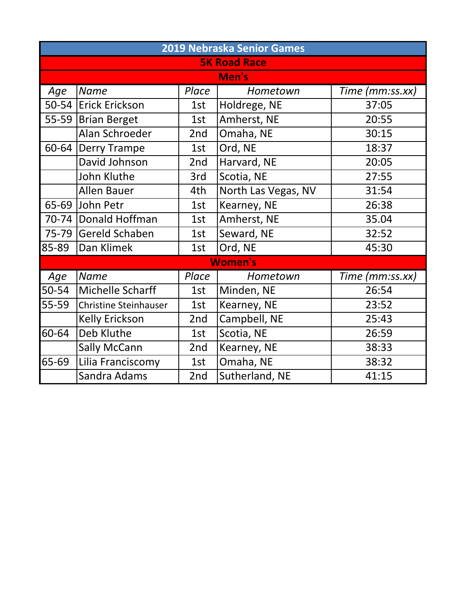| 2019 Nebraska Senior Games |                              |       |                     |                 |  |
|----------------------------|------------------------------|-------|---------------------|-----------------|--|
|                            |                              |       | <b>5K Road Race</b> |                 |  |
|                            |                              |       | Men's               |                 |  |
| Age                        | <b>Name</b>                  | Place | Hometown            | Time (mm:ss.xx) |  |
| $50 - 54$                  | <b>Erick Erickson</b>        | 1st   | Holdrege, NE        | 37:05           |  |
| $55 - 59$                  | <b>Brian Berget</b>          | 1st   | Amherst, NE         | 20:55           |  |
|                            | Alan Schroeder               | 2nd   | Omaha, NE           | 30:15           |  |
| $60 - 64$                  | <b>Derry Trampe</b>          | 1st   | Ord, NE             | 18:37           |  |
|                            | David Johnson                | 2nd   | Harvard, NE         | 20:05           |  |
|                            | <b>John Kluthe</b>           | 3rd   | Scotia, NE          | 27:55           |  |
|                            | <b>Allen Bauer</b>           | 4th   | North Las Vegas, NV | 31:54           |  |
|                            | 65-69 John Petr              | 1st   | Kearney, NE         | 26:38           |  |
|                            | 70-74 Donald Hoffman         | 1st   | Amherst, NE         | 35.04           |  |
| 75-79                      | Gereld Schaben               | 1st   | Seward, NE          | 32:52           |  |
| 85-89                      | Dan Klimek                   | 1st   | Ord, NE             | 45:30           |  |
|                            |                              |       | <b>Women's</b>      |                 |  |
| Age                        | <b>Name</b>                  | Place | Hometown            | Time (mm:ss.xx) |  |
| 50-54                      | Michelle Scharff             | 1st   | Minden, NE          | 26:54           |  |
| 55-59                      | <b>Christine Steinhauser</b> | 1st   | Kearney, NE         | 23:52           |  |
|                            | <b>Kelly Erickson</b>        | 2nd   | Campbell, NE        | 25:43           |  |
| 60-64                      | Deb Kluthe                   | 1st   | Scotia, NE          | 26:59           |  |
|                            | <b>Sally McCann</b>          | 2nd   | Kearney, NE         | 38:33           |  |
| 65-69                      | Lilia Franciscomy            | 1st   | Omaha, NE           | 38:32           |  |
|                            | Sandra Adams                 | 2nd   | Sutherland, NE      | 41:15           |  |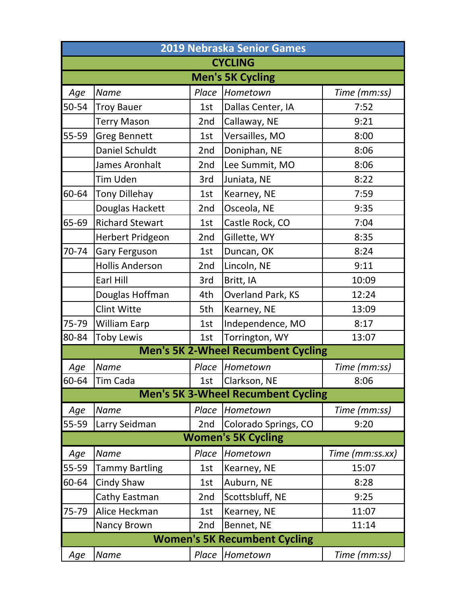| <b>2019 Nebraska Senior Games</b> |                         |       |                                           |                 |  |  |  |
|-----------------------------------|-------------------------|-------|-------------------------------------------|-----------------|--|--|--|
|                                   |                         |       | <b>CYCLING</b>                            |                 |  |  |  |
|                                   | <b>Men's 5K Cycling</b> |       |                                           |                 |  |  |  |
| Age                               | <b>Name</b>             | Place | Hometown                                  | Time (mm:ss)    |  |  |  |
| 50-54                             | <b>Troy Bauer</b>       | 1st   | Dallas Center, IA                         | 7:52            |  |  |  |
|                                   | <b>Terry Mason</b>      | 2nd   | Callaway, NE                              | 9:21            |  |  |  |
| 55-59                             | <b>Greg Bennett</b>     | 1st   | Versailles, MO                            | 8:00            |  |  |  |
|                                   | Daniel Schuldt          | 2nd   | Doniphan, NE                              | 8:06            |  |  |  |
|                                   | James Aronhalt          | 2nd   | Lee Summit, MO                            | 8:06            |  |  |  |
|                                   | Tim Uden                | 3rd   | Juniata, NE                               | 8:22            |  |  |  |
| 60-64                             | <b>Tony Dillehay</b>    | 1st   | Kearney, NE                               | 7:59            |  |  |  |
|                                   | Douglas Hackett         | 2nd   | Osceola, NE                               | 9:35            |  |  |  |
| 65-69                             | <b>Richard Stewart</b>  | 1st   | Castle Rock, CO                           | 7:04            |  |  |  |
|                                   | Herbert Pridgeon        | 2nd   | Gillette, WY                              | 8:35            |  |  |  |
| 70-74                             | Gary Ferguson           | 1st   | Duncan, OK                                | 8:24            |  |  |  |
|                                   | <b>Hollis Anderson</b>  | 2nd   | Lincoln, NE                               | 9:11            |  |  |  |
|                                   | Earl Hill               | 3rd   | Britt, IA                                 | 10:09           |  |  |  |
|                                   | Douglas Hoffman         | 4th   | Overland Park, KS                         | 12:24           |  |  |  |
|                                   | <b>Clint Witte</b>      | 5th   | Kearney, NE                               | 13:09           |  |  |  |
| 75-79                             | <b>William Earp</b>     | 1st   | Independence, MO                          | 8:17            |  |  |  |
| 80-84                             | <b>Toby Lewis</b>       | 1st   | Torrington, WY                            | 13:07           |  |  |  |
|                                   |                         |       | <b>Men's 5K 2-Wheel Recumbent Cycling</b> |                 |  |  |  |
| Age                               | <b>Name</b>             | Place | Hometown                                  | Time (mm:ss)    |  |  |  |
| 60-64                             | Tim Cada                | 1st   | Clarkson, NE                              | 8:06            |  |  |  |
|                                   |                         |       | <b>Men's 5K 3-Wheel Recumbent Cycling</b> |                 |  |  |  |
| Age                               | <b>Name</b>             | Place | Hometown                                  | Time (mm:ss)    |  |  |  |
| 55-59                             | Larry Seidman           | 2nd   | Colorado Springs, CO                      | 9:20            |  |  |  |
|                                   |                         |       | <b>Women's 5K Cycling</b>                 |                 |  |  |  |
| Age                               | <b>Name</b>             | Place | Hometown                                  | Time (mm:ss.xx) |  |  |  |
| 55-59                             | <b>Tammy Bartling</b>   | 1st   | Kearney, NE                               | 15:07           |  |  |  |
| 60-64                             | Cindy Shaw              | 1st   | Auburn, NE                                | 8:28            |  |  |  |
|                                   | Cathy Eastman           | 2nd   | Scottsbluff, NE                           | 9:25            |  |  |  |
| 75-79                             | Alice Heckman           | 1st   | Kearney, NE                               | 11:07           |  |  |  |
|                                   | Nancy Brown             | 2nd   | Bennet, NE                                | 11:14           |  |  |  |
|                                   |                         |       | <b>Women's 5K Recumbent Cycling</b>       |                 |  |  |  |
| Age                               | Name                    | Place | Hometown                                  | Time (mm:ss)    |  |  |  |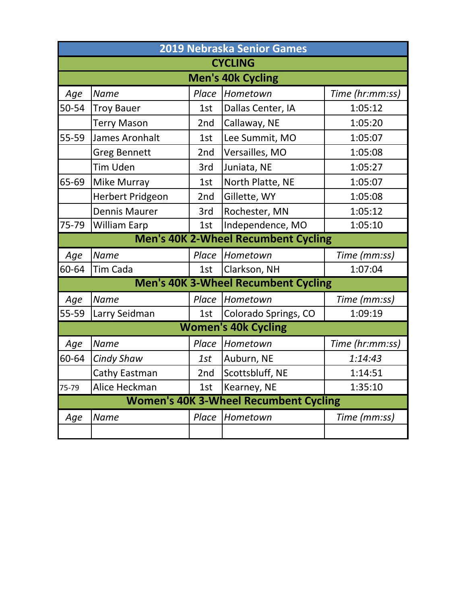|                          | 2019 Nebraska Senior Games |       |                                              |                 |  |  |
|--------------------------|----------------------------|-------|----------------------------------------------|-----------------|--|--|
|                          | <b>CYCLING</b>             |       |                                              |                 |  |  |
| <b>Men's 40k Cycling</b> |                            |       |                                              |                 |  |  |
| Age                      | <b>Name</b>                | Place | Hometown                                     | Time (hr:mm:ss) |  |  |
| 50-54                    | <b>Troy Bauer</b>          | 1st   | Dallas Center, IA                            | 1:05:12         |  |  |
|                          | <b>Terry Mason</b>         | 2nd   | Callaway, NE                                 | 1:05:20         |  |  |
| 55-59                    | James Aronhalt             | 1st   | Lee Summit, MO                               | 1:05:07         |  |  |
|                          | <b>Greg Bennett</b>        | 2nd   | Versailles, MO                               | 1:05:08         |  |  |
|                          | <b>Tim Uden</b>            | 3rd   | Juniata, NE                                  | 1:05:27         |  |  |
| 65-69                    | Mike Murray                | 1st   | North Platte, NE                             | 1:05:07         |  |  |
|                          | <b>Herbert Pridgeon</b>    | 2nd   | Gillette, WY                                 | 1:05:08         |  |  |
|                          | <b>Dennis Maurer</b>       | 3rd   | Rochester, MN                                | 1:05:12         |  |  |
| 75-79                    | <b>William Earp</b>        | 1st   | Independence, MO                             | 1:05:10         |  |  |
|                          |                            |       | <b>Men's 40K 2-Wheel Recumbent Cycling</b>   |                 |  |  |
| Age                      | Name                       | Place | Hometown                                     | Time (mm:ss)    |  |  |
| 60-64                    | Tim Cada                   | 1st   | Clarkson, NH                                 | 1:07:04         |  |  |
|                          |                            |       | <b>Men's 40K 3-Wheel Recumbent Cycling</b>   |                 |  |  |
| Age                      | Name                       | Place | Hometown                                     | Time (mm:ss)    |  |  |
| 55-59                    | Larry Seidman              | 1st   | Colorado Springs, CO                         | 1:09:19         |  |  |
|                          |                            |       | <b>Women's 40k Cycling</b>                   |                 |  |  |
| Age                      | <b>Name</b>                | Place | Hometown                                     | Time (hr:mm:ss) |  |  |
| 60-64                    | <b>Cindy Shaw</b>          | 1st   | Auburn, NE                                   | 1:14:43         |  |  |
|                          | Cathy Eastman              | 2nd   | Scottsbluff, NE                              | 1:14:51         |  |  |
| 75-79                    | Alice Heckman              | 1st   | Kearney, NE                                  | 1:35:10         |  |  |
|                          |                            |       | <b>Women's 40K 3-Wheel Recumbent Cycling</b> |                 |  |  |
| Age                      | <b>Name</b>                | Place | Hometown                                     | Time (mm:ss)    |  |  |
|                          |                            |       |                                              |                 |  |  |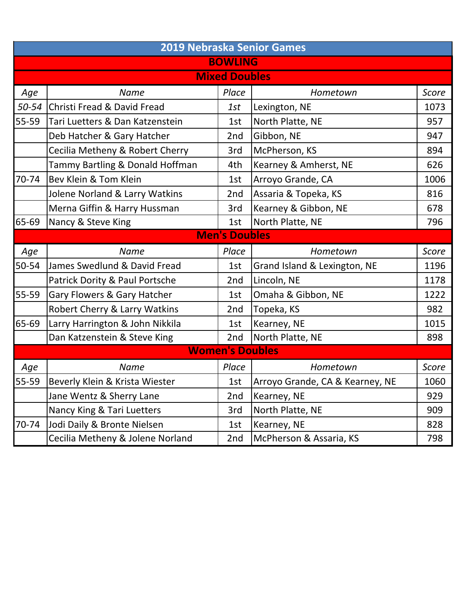|       | <b>2019 Nebraska Senior Games</b>      |                        |                                 |              |  |  |
|-------|----------------------------------------|------------------------|---------------------------------|--------------|--|--|
|       |                                        | <b>BOWLING</b>         |                                 |              |  |  |
|       |                                        | <b>Mixed Doubles</b>   |                                 |              |  |  |
| Age   | <b>Name</b>                            | Place                  | Hometown                        | <b>Score</b> |  |  |
| 50-54 | <b>Christi Fread &amp; David Fread</b> | 1st                    | Lexington, NE                   | 1073         |  |  |
| 55-59 | Tari Luetters & Dan Katzenstein        | 1st                    | North Platte, NE                | 957          |  |  |
|       | Deb Hatcher & Gary Hatcher             | 2nd                    | Gibbon, NE                      | 947          |  |  |
|       | Cecilia Metheny & Robert Cherry        | 3rd                    | McPherson, KS                   | 894          |  |  |
|       | Tammy Bartling & Donald Hoffman        | 4th                    | Kearney & Amherst, NE           | 626          |  |  |
| 70-74 | Bev Klein & Tom Klein                  | 1st                    | Arroyo Grande, CA               | 1006         |  |  |
|       | Jolene Norland & Larry Watkins         | 2nd                    | Assaria & Topeka, KS            | 816          |  |  |
|       | Merna Giffin & Harry Hussman           | 3rd                    | Kearney & Gibbon, NE            | 678          |  |  |
| 65-69 | Nancy & Steve King                     | 1st                    | North Platte, NE                | 796          |  |  |
|       |                                        | <b>Men's Doubles</b>   |                                 |              |  |  |
| Age   | <b>Name</b>                            | Place                  | Hometown                        | <b>Score</b> |  |  |
| 50-54 | James Swedlund & David Fread           | 1st                    | Grand Island & Lexington, NE    | 1196         |  |  |
|       | Patrick Dority & Paul Portsche         | 2nd                    | Lincoln, NE                     | 1178         |  |  |
| 55-59 | Gary Flowers & Gary Hatcher            | 1st                    | Omaha & Gibbon, NE              | 1222         |  |  |
|       | Robert Cherry & Larry Watkins          | 2nd                    | Topeka, KS                      | 982          |  |  |
| 65-69 | Larry Harrington & John Nikkila        | 1st                    | Kearney, NE                     | 1015         |  |  |
|       | Dan Katzenstein & Steve King           | 2nd                    | North Platte, NE                | 898          |  |  |
|       |                                        | <b>Women's Doubles</b> |                                 |              |  |  |
| Age   | <b>Name</b>                            | Place                  | Hometown                        | <b>Score</b> |  |  |
| 55-59 | Beverly Klein & Krista Wiester         | 1st                    | Arroyo Grande, CA & Kearney, NE | 1060         |  |  |
|       | Jane Wentz & Sherry Lane               | 2nd                    | Kearney, NE                     | 929          |  |  |
|       | Nancy King & Tari Luetters             | 3rd                    | North Platte, NE                | 909          |  |  |
| 70-74 | Jodi Daily & Bronte Nielsen            | 1st                    | Kearney, NE                     | 828          |  |  |
|       | Cecilia Metheny & Jolene Norland       | 2nd                    | McPherson & Assaria, KS         | 798          |  |  |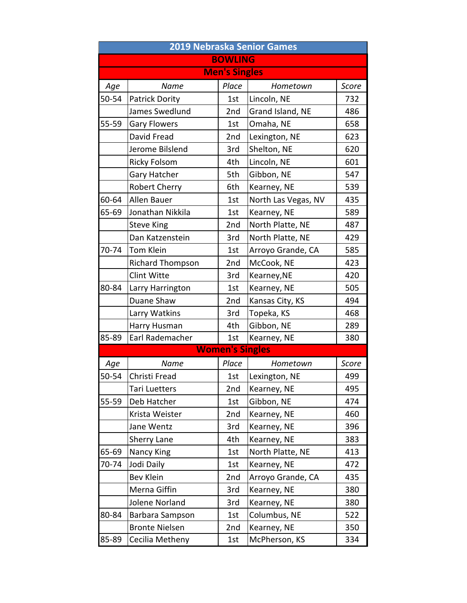|       | <b>2019 Nebraska Senior Games</b> |                        |                     |       |  |  |
|-------|-----------------------------------|------------------------|---------------------|-------|--|--|
|       |                                   | <b>BOWLING</b>         |                     |       |  |  |
|       |                                   | <b>Men's Singles</b>   |                     |       |  |  |
| Age   | <b>Name</b>                       | Place                  | Hometown            | Score |  |  |
| 50-54 | <b>Patrick Dority</b>             | 1st                    | Lincoln, NE         | 732   |  |  |
|       | James Swedlund                    | 2nd                    | Grand Island, NE    | 486   |  |  |
| 55-59 | <b>Gary Flowers</b>               | 1st                    | Omaha, NE           | 658   |  |  |
|       | David Fread                       | 2nd                    | Lexington, NE       | 623   |  |  |
|       | Jerome Bilslend                   | 3rd                    | Shelton, NE         | 620   |  |  |
|       | <b>Ricky Folsom</b>               | 4th                    | Lincoln, NE         | 601   |  |  |
|       | Gary Hatcher                      | 5th                    | Gibbon, NE          | 547   |  |  |
|       | <b>Robert Cherry</b>              | 6th                    | Kearney, NE         | 539   |  |  |
| 60-64 | Allen Bauer                       | 1st                    | North Las Vegas, NV | 435   |  |  |
| 65-69 | Jonathan Nikkila                  | 1st                    | Kearney, NE         | 589   |  |  |
|       | <b>Steve King</b>                 | 2nd                    | North Platte, NE    | 487   |  |  |
|       | Dan Katzenstein                   | 3rd                    | North Platte, NE    | 429   |  |  |
| 70-74 | Tom Klein                         | 1st                    | Arroyo Grande, CA   | 585   |  |  |
|       | <b>Richard Thompson</b>           | 2nd                    | McCook, NE          | 423   |  |  |
|       | <b>Clint Witte</b>                | 3rd                    | Kearney, NE         | 420   |  |  |
| 80-84 | Larry Harrington                  | 1st                    | Kearney, NE         | 505   |  |  |
|       | Duane Shaw                        | 2nd                    | Kansas City, KS     | 494   |  |  |
|       | Larry Watkins                     | 3rd                    | Topeka, KS          | 468   |  |  |
|       | Harry Husman                      | 4th                    | Gibbon, NE          | 289   |  |  |
| 85-89 | Earl Rademacher                   | 1st                    | Kearney, NE         | 380   |  |  |
|       |                                   | <b>Women's Singles</b> |                     |       |  |  |
| Age   | Name                              | Place                  | Hometown            | Score |  |  |
| 50-54 | Christi Fread                     | 1st                    | Lexington, NE       | 499   |  |  |
|       | Tari Luetters                     | 2nd                    | Kearney, NE         | 495   |  |  |
| 55-59 | Deb Hatcher                       | 1st                    | Gibbon, NE          | 474   |  |  |
|       | Krista Weister                    | 2nd                    | Kearney, NE         | 460   |  |  |
|       | Jane Wentz                        | 3rd                    | Kearney, NE         | 396   |  |  |
|       | Sherry Lane                       | 4th                    | Kearney, NE         | 383   |  |  |
| 65-69 | Nancy King                        | 1st                    | North Platte, NE    | 413   |  |  |
| 70-74 | Jodi Daily                        | 1st                    | Kearney, NE         | 472   |  |  |
|       | <b>Bev Klein</b>                  | 2nd                    | Arroyo Grande, CA   | 435   |  |  |
|       | Merna Giffin                      | 3rd                    | Kearney, NE         | 380   |  |  |
|       | Jolene Norland                    | 3rd                    | Kearney, NE         | 380   |  |  |
| 80-84 | Barbara Sampson                   | 1st                    | Columbus, NE        | 522   |  |  |
|       | <b>Bronte Nielsen</b>             | 2nd                    | Kearney, NE         | 350   |  |  |
| 85-89 | Cecilia Metheny                   | 1st                    | McPherson, KS       | 334   |  |  |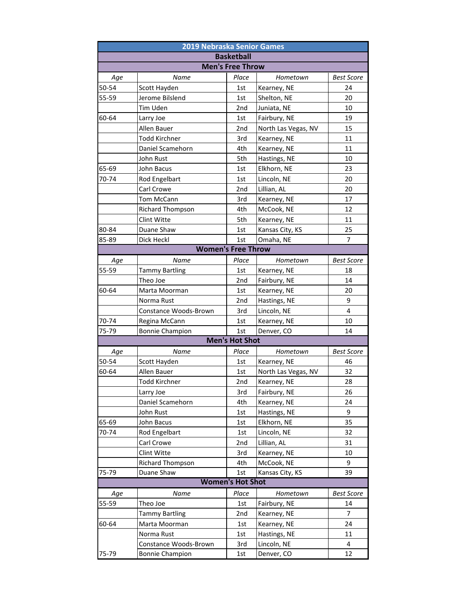| 2019 Nebraska Senior Games |                         |                         |                     |                   |  |
|----------------------------|-------------------------|-------------------------|---------------------|-------------------|--|
|                            |                         | <b>Basketball</b>       |                     |                   |  |
|                            |                         | <b>Men's Free Throw</b> |                     |                   |  |
| Age                        | Name                    | Place                   | Hometown            | <b>Best Score</b> |  |
| 50-54                      | Scott Hayden            | 1st                     | Kearney, NE         | 24                |  |
| 55-59                      | Jerome Bilslend         | 1st                     | Shelton, NE         | 20                |  |
|                            | Tim Uden                | 2nd                     | Juniata, NE         | 10                |  |
| 60-64                      | Larry Joe               | 1st                     | Fairbury, NE        | 19                |  |
|                            | Allen Bauer             | 2nd                     | North Las Vegas, NV | 15                |  |
|                            | <b>Todd Kirchner</b>    | 3rd                     | Kearney, NE         | 11                |  |
|                            | Daniel Scamehorn        | 4th                     | Kearney, NE         | 11                |  |
|                            | John Rust               | 5th                     | Hastings, NE        | 10                |  |
| 65-69                      | John Bacus              | 1st                     | Elkhorn, NE         | 23                |  |
| 70-74                      | Rod Engelbart           | 1st                     | Lincoln, NE         | 20                |  |
|                            | Carl Crowe              | 2nd                     | Lillian, AL         | 20                |  |
|                            | Tom McCann              | 3rd                     | Kearney, NE         | 17                |  |
|                            | <b>Richard Thompson</b> | 4th                     | McCook, NE          | 12                |  |
|                            | Clint Witte             | 5th                     | Kearney, NE         | 11                |  |
| 80-84                      | Duane Shaw              | 1st                     | Kansas City, KS     | 25                |  |
| 85-89                      | Dick Heckl              | 1st                     | Omaha, NE           | 7                 |  |
| <b>Women's Free Throw</b>  |                         |                         |                     |                   |  |
| Aqe                        | <b>Name</b>             | Place                   | Hometown            | <b>Best Score</b> |  |
| 55-59                      | <b>Tammy Bartling</b>   | 1st                     | Kearney, NE         | 18                |  |
|                            | Theo Joe                | 2nd                     | Fairbury, NE        | 14                |  |
| 60-64                      | Marta Moorman           | 1st                     | Kearney, NE         | 20                |  |
|                            | Norma Rust              | 2nd                     | Hastings, NE        | 9                 |  |
|                            | Constance Woods-Brown   | 3rd                     | Lincoln, NE         | 4                 |  |
| 70-74                      | Regina McCann           | 1st                     | Kearney, NE         | 10                |  |
| 75-79                      | <b>Bonnie Champion</b>  | 1st                     | Denver, CO          | 14                |  |
|                            |                         | <b>Men's Hot Shot</b>   |                     |                   |  |
| Age                        | Name                    | Place                   | Hometown            | <b>Best Score</b> |  |
| 50-54                      | Scott Hayden            | 1st                     | Kearney, NE         | 46                |  |
| 60-64                      | Allen Bauer             | 1st                     | North Las Vegas, NV | 32                |  |
|                            | <b>Todd Kirchner</b>    | 2nd                     | Kearney, NE         | 28                |  |
|                            | Larry Joe               | 3rd                     | Fairbury, NE        | 26                |  |
|                            | Daniel Scamehorn        | 4th                     | Kearney, NE         | 24                |  |
|                            | John Rust               | 1st                     | Hastings, NE        | 9                 |  |
| 65-69                      | John Bacus              | 1st                     | Elkhorn, NE         | 35                |  |
| 70-74                      | Rod Engelbart           | 1st                     | Lincoln, NE         | 32                |  |
|                            | Carl Crowe              | 2nd                     | Lillian, AL         | 31                |  |
|                            | Clint Witte             | 3rd                     | Kearney, NE         | 10                |  |
|                            | Richard Thompson        | 4th                     | McCook, NE          | 9                 |  |
| 75-79                      | Duane Shaw              | 1st                     | Kansas City, KS     | 39                |  |
|                            |                         | <b>Women's Hot Shot</b> |                     |                   |  |
| Age                        | Name                    | Place                   | Hometown            | <b>Best Score</b> |  |
| 55-59                      | Theo Joe                | 1st                     | Fairbury, NE        | 14                |  |
|                            | <b>Tammy Bartling</b>   | 2nd                     | Kearney, NE         | 7                 |  |
| 60-64                      | Marta Moorman           | 1st                     | Kearney, NE         | 24                |  |
|                            | Norma Rust              | 1st                     | Hastings, NE        | 11                |  |
|                            | Constance Woods-Brown   | 3rd                     | Lincoln, NE         | 4                 |  |
| 75-79                      | <b>Bonnie Champion</b>  | 1st                     | Denver, CO          | 12                |  |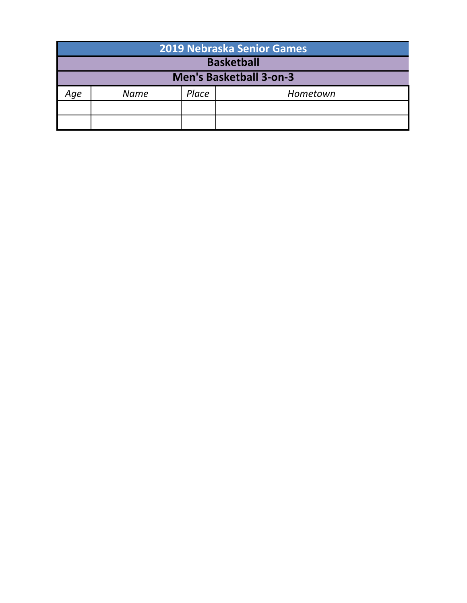| 2019 Nebraska Senior Games |                                |       |          |  |  |  |  |
|----------------------------|--------------------------------|-------|----------|--|--|--|--|
|                            | <b>Basketball</b>              |       |          |  |  |  |  |
|                            | <b>Men's Basketball 3-on-3</b> |       |          |  |  |  |  |
| Age                        | Name                           | Place | Hometown |  |  |  |  |
|                            |                                |       |          |  |  |  |  |
|                            |                                |       |          |  |  |  |  |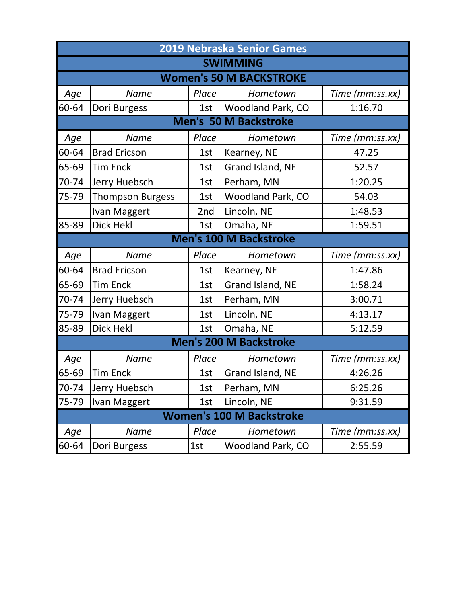|       | <b>2019 Nebraska Senior Games</b> |       |                                 |                 |  |  |
|-------|-----------------------------------|-------|---------------------------------|-----------------|--|--|
|       |                                   |       | <b>SWIMMING</b>                 |                 |  |  |
|       |                                   |       | <b>Women's 50 M BACKSTROKE</b>  |                 |  |  |
| Age   | <b>Name</b>                       | Place | Hometown                        | Time (mm:ss.xx) |  |  |
| 60-64 | Dori Burgess                      | 1st   | Woodland Park, CO               | 1:16.70         |  |  |
|       |                                   |       | <b>Men's 50 M Backstroke</b>    |                 |  |  |
| Age   | <b>Name</b>                       | Place | Hometown                        | Time (mm:ss.xx) |  |  |
| 60-64 | <b>Brad Ericson</b>               | 1st   | Kearney, NE                     | 47.25           |  |  |
| 65-69 | <b>Tim Enck</b>                   | 1st   | Grand Island, NE                | 52.57           |  |  |
| 70-74 | Jerry Huebsch                     | 1st   | Perham, MN                      | 1:20.25         |  |  |
| 75-79 | <b>Thompson Burgess</b>           | 1st   | <b>Woodland Park, CO</b>        | 54.03           |  |  |
|       | Ivan Maggert                      | 2nd   | Lincoln, NE                     | 1:48.53         |  |  |
| 85-89 | Dick Hekl                         | 1st   | Omaha, NE                       | 1:59.51         |  |  |
|       |                                   |       | <b>Men's 100 M Backstroke</b>   |                 |  |  |
| Age   | <b>Name</b>                       | Place | Hometown                        | Time (mm:ss.xx) |  |  |
| 60-64 | <b>Brad Ericson</b>               | 1st   | Kearney, NE                     | 1:47.86         |  |  |
| 65-69 | <b>Tim Enck</b>                   | 1st   | Grand Island, NE                | 1:58.24         |  |  |
| 70-74 | Jerry Huebsch                     | 1st   | Perham, MN                      | 3:00.71         |  |  |
| 75-79 | Ivan Maggert                      | 1st   | Lincoln, NE                     | 4:13.17         |  |  |
| 85-89 | <b>Dick Hekl</b>                  | 1st   | Omaha, NE                       | 5:12.59         |  |  |
|       |                                   |       | <b>Men's 200 M Backstroke</b>   |                 |  |  |
| Age   | <b>Name</b>                       | Place | Hometown                        | Time (mm:ss.xx) |  |  |
| 65-69 | <b>Tim Enck</b>                   | 1st   | Grand Island, NE                | 4:26.26         |  |  |
| 70-74 | Jerry Huebsch                     | 1st   | Perham, MN                      | 6:25.26         |  |  |
| 75-79 | Ivan Maggert                      | 1st   | Lincoln, NE                     | 9:31.59         |  |  |
|       |                                   |       | <b>Women's 100 M Backstroke</b> |                 |  |  |
| Age   | Name                              | Place | Hometown                        | Time (mm:ss.xx) |  |  |
| 60-64 | Dori Burgess                      | 1st   | <b>Woodland Park, CO</b>        | 2:55.59         |  |  |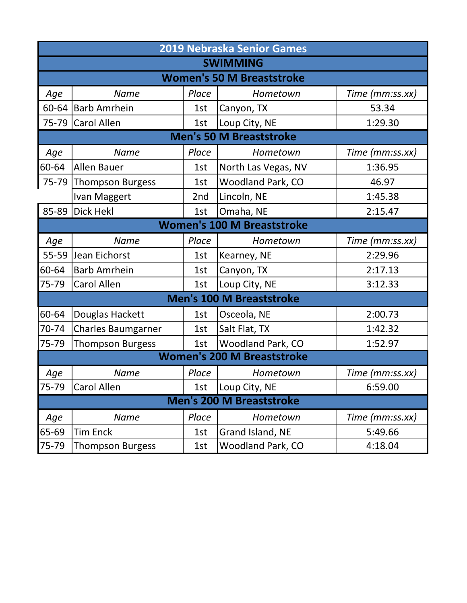|       | <b>2019 Nebraska Senior Games</b> |       |                                   |                 |  |  |
|-------|-----------------------------------|-------|-----------------------------------|-----------------|--|--|
|       |                                   |       | <b>SWIMMING</b>                   |                 |  |  |
|       |                                   |       | <b>Women's 50 M Breaststroke</b>  |                 |  |  |
| Age   | <b>Name</b>                       | Place | Hometown                          | Time (mm:ss.xx) |  |  |
| 60-64 | <b>Barb Amrhein</b>               | 1st   | Canyon, TX                        | 53.34           |  |  |
| 75-79 | <b>Carol Allen</b>                | 1st   | Loup City, NE                     | 1:29.30         |  |  |
|       |                                   |       | <b>Men's 50 M Breaststroke</b>    |                 |  |  |
| Age   | <b>Name</b>                       | Place | Hometown                          | Time (mm:ss.xx) |  |  |
| 60-64 | <b>Allen Bauer</b>                | 1st   | North Las Vegas, NV               | 1:36.95         |  |  |
| 75-79 | <b>Thompson Burgess</b>           | 1st   | <b>Woodland Park, CO</b>          | 46.97           |  |  |
|       | Ivan Maggert                      | 2nd   | Lincoln, NE                       | 1:45.38         |  |  |
| 85-89 | <b>Dick Hekl</b>                  | 1st   | Omaha, NE                         | 2:15.47         |  |  |
|       |                                   |       | <b>Women's 100 M Breaststroke</b> |                 |  |  |
| Age   | <b>Name</b>                       | Place | Hometown                          | Time (mm:ss.xx) |  |  |
| 55-59 | Jean Eichorst                     | 1st   | Kearney, NE                       | 2:29.96         |  |  |
| 60-64 | <b>Barb Amrhein</b>               | 1st   | Canyon, TX                        | 2:17.13         |  |  |
| 75-79 | Carol Allen                       | 1st   | Loup City, NE                     | 3:12.33         |  |  |
|       |                                   |       | <b>Men's 100 M Breaststroke</b>   |                 |  |  |
| 60-64 | Douglas Hackett                   | 1st   | Osceola, NE                       | 2:00.73         |  |  |
| 70-74 | <b>Charles Baumgarner</b>         | 1st   | Salt Flat, TX                     | 1:42.32         |  |  |
| 75-79 | <b>Thompson Burgess</b>           | 1st   | <b>Woodland Park, CO</b>          | 1:52.97         |  |  |
|       |                                   |       | <b>Women's 200 M Breaststroke</b> |                 |  |  |
| Age   | <b>Name</b>                       | Place | Hometown                          | Time (mm:ss.xx) |  |  |
| 75-79 | Carol Allen                       | 1st   | Loup City, NE                     | 6:59.00         |  |  |
|       |                                   |       | <b>Men's 200 M Breaststroke</b>   |                 |  |  |
| Age   | <b>Name</b>                       | Place | Hometown                          | Time (mm:ss.xx) |  |  |
| 65-69 | <b>Tim Enck</b>                   | 1st   | Grand Island, NE                  | 5:49.66         |  |  |
| 75-79 | <b>Thompson Burgess</b>           | 1st   | Woodland Park, CO                 | 4:18.04         |  |  |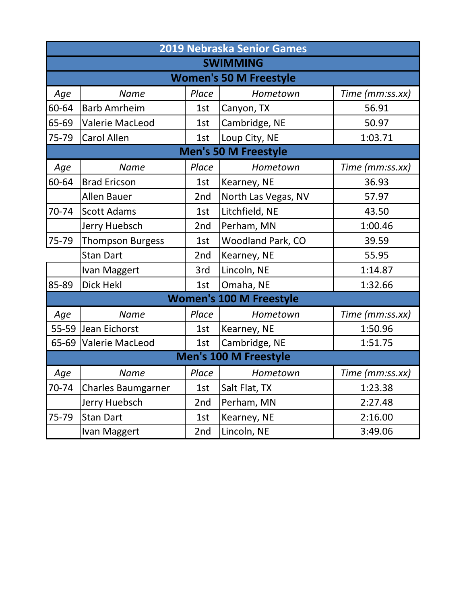|       | 2019 Nebraska Senior Games    |       |                                |                 |  |  |
|-------|-------------------------------|-------|--------------------------------|-----------------|--|--|
|       | <b>SWIMMING</b>               |       |                                |                 |  |  |
|       | <b>Women's 50 M Freestyle</b> |       |                                |                 |  |  |
| Age   | <b>Name</b>                   | Place | Hometown                       | Time (mm:ss.xx) |  |  |
| 60-64 | <b>Barb Amrheim</b>           | 1st   | Canyon, TX                     | 56.91           |  |  |
| 65-69 | <b>Valerie MacLeod</b>        | 1st   | Cambridge, NE                  | 50.97           |  |  |
| 75-79 | <b>Carol Allen</b>            | 1st   | Loup City, NE                  | 1:03.71         |  |  |
|       |                               |       | Men's 50 M Freestyle           |                 |  |  |
| Age   | <b>Name</b>                   | Place | Hometown                       | Time (mm:ss.xx) |  |  |
| 60-64 | <b>Brad Ericson</b>           | 1st   | Kearney, NE                    | 36.93           |  |  |
|       | <b>Allen Bauer</b>            | 2nd   | North Las Vegas, NV            | 57.97           |  |  |
| 70-74 | <b>Scott Adams</b>            | 1st   | Litchfield, NE                 | 43.50           |  |  |
|       | Jerry Huebsch                 | 2nd   | Perham, MN                     | 1:00.46         |  |  |
| 75-79 | <b>Thompson Burgess</b>       | 1st   | Woodland Park, CO              | 39.59           |  |  |
|       | <b>Stan Dart</b>              | 2nd   | Kearney, NE                    | 55.95           |  |  |
|       | Ivan Maggert                  | 3rd   | Lincoln, NE                    | 1:14.87         |  |  |
| 85-89 | Dick Hekl                     | 1st   | Omaha, NE                      | 1:32.66         |  |  |
|       |                               |       | <b>Women's 100 M Freestyle</b> |                 |  |  |
| Age   | <b>Name</b>                   | Place | Hometown                       | Time (mm:ss.xx) |  |  |
|       | 55-59 Jean Eichorst           | 1st   | Kearney, NE                    | 1:50.96         |  |  |
|       | 65-69 Valerie MacLeod         | 1st   | Cambridge, NE                  | 1:51.75         |  |  |
|       |                               |       | <b>Men's 100 M Freestyle</b>   |                 |  |  |
| Age   | <b>Name</b>                   | Place | Hometown                       | Time (mm:ss.xx) |  |  |
| 70-74 | <b>Charles Baumgarner</b>     | 1st   | Salt Flat, TX                  | 1:23.38         |  |  |
|       | Jerry Huebsch                 | 2nd   | Perham, MN                     | 2:27.48         |  |  |
| 75-79 | <b>Stan Dart</b>              | 1st   | Kearney, NE                    | 2:16.00         |  |  |
|       | Ivan Maggert                  | 2nd   | Lincoln, NE                    | 3:49.06         |  |  |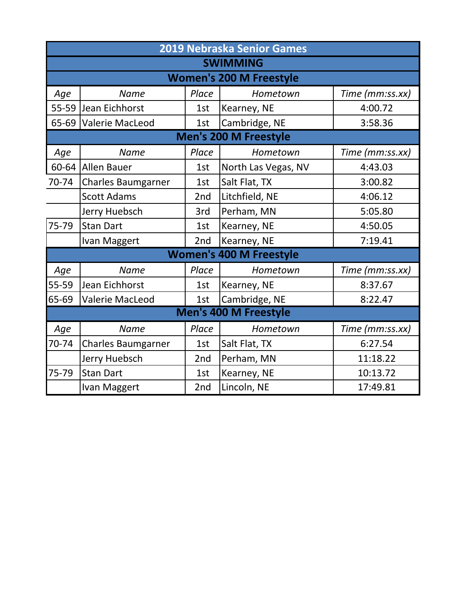|           | 2019 Nebraska Senior Games |       |                                |                 |  |  |
|-----------|----------------------------|-------|--------------------------------|-----------------|--|--|
|           | <b>SWIMMING</b>            |       |                                |                 |  |  |
|           |                            |       | <b>Women's 200 M Freestyle</b> |                 |  |  |
| Age       | <b>Name</b>                | Place | Hometown                       | Time (mm:ss.xx) |  |  |
|           | 55-59 Jean Eichhorst       | 1st   | Kearney, NE                    | 4:00.72         |  |  |
| $65 - 69$ | <b>Valerie MacLeod</b>     | 1st   | Cambridge, NE                  | 3:58.36         |  |  |
|           |                            |       | <b>Men's 200 M Freestyle</b>   |                 |  |  |
| Age       | <b>Name</b>                | Place | Hometown                       | Time (mm:ss.xx) |  |  |
|           | 60-64 Allen Bauer          | 1st   | North Las Vegas, NV            | 4:43.03         |  |  |
| 70-74     | <b>Charles Baumgarner</b>  | 1st   | Salt Flat, TX                  | 3:00.82         |  |  |
|           | <b>Scott Adams</b>         | 2nd   | Litchfield, NE                 | 4:06.12         |  |  |
|           | Jerry Huebsch              | 3rd   | Perham, MN                     | 5:05.80         |  |  |
| 75-79     | <b>Stan Dart</b>           | 1st   | Kearney, NE                    | 4:50.05         |  |  |
|           | Ivan Maggert               | 2nd   | Kearney, NE                    | 7:19.41         |  |  |
|           |                            |       | <b>Women's 400 M Freestyle</b> |                 |  |  |
| Age       | <b>Name</b>                | Place | Hometown                       | Time (mm:ss.xx) |  |  |
| 55-59     | Jean Eichhorst             | 1st   | Kearney, NE                    | 8:37.67         |  |  |
| 65-69     | <b>Valerie MacLeod</b>     | 1st   | Cambridge, NE                  | 8:22.47         |  |  |
|           |                            |       | <b>Men's 400 M Freestyle</b>   |                 |  |  |
| Age       | <b>Name</b>                | Place | Hometown                       | Time (mm:ss.xx) |  |  |
| 70-74     | <b>Charles Baumgarner</b>  | 1st   | Salt Flat, TX                  | 6:27.54         |  |  |
|           | Jerry Huebsch              | 2nd   | Perham, MN                     | 11:18.22        |  |  |
| 75-79     | <b>Stan Dart</b>           | 1st   | Kearney, NE                    | 10:13.72        |  |  |
|           | Ivan Maggert               | 2nd   | Lincoln, NE                    | 17:49.81        |  |  |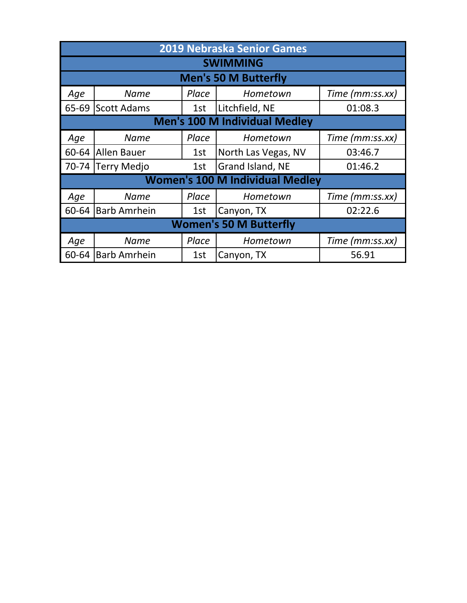|       | <b>2019 Nebraska Senior Games</b> |       |                                        |                 |  |
|-------|-----------------------------------|-------|----------------------------------------|-----------------|--|
|       |                                   |       | <b>SWIMMING</b>                        |                 |  |
|       |                                   |       | <b>Men's 50 M Butterfly</b>            |                 |  |
| Age   | <b>Name</b>                       | Place | Hometown                               | Time (mm:ss.xx) |  |
| 65-69 | Scott Adams                       | 1st   | Litchfield, NE                         | 01:08.3         |  |
|       |                                   |       | <b>Men's 100 M Individual Medley</b>   |                 |  |
| Age   | <b>Name</b>                       | Place | Hometown                               | Time (mm:ss.xx) |  |
| 60-64 | lAllen Bauer                      | 1st   | North Las Vegas, NV                    | 03:46.7         |  |
|       | 70-74 Terry Medjo                 | 1st   | Grand Island, NE                       | 01:46.2         |  |
|       |                                   |       | <b>Women's 100 M Individual Medley</b> |                 |  |
| Age   | <b>Name</b>                       | Place | Hometown                               | Time (mm:ss.xx) |  |
| 60-64 | <b>Barb Amrhein</b>               | 1st   | Canyon, TX                             | 02:22.6         |  |
|       | <b>Women's 50 M Butterfly</b>     |       |                                        |                 |  |
| Age   | <b>Name</b>                       | Place | Hometown                               | Time (mm:ss.xx) |  |
| 60-64 | <b>Barb Amrhein</b>               | 1st   | Canyon, TX                             | 56.91           |  |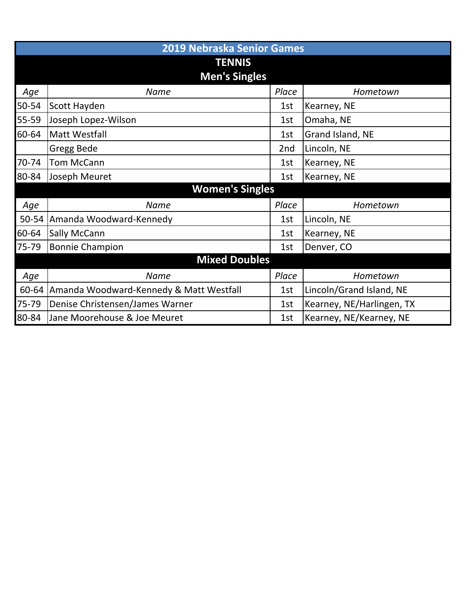|       | <b>2019 Nebraska Senior Games</b>       |       |                           |  |  |  |
|-------|-----------------------------------------|-------|---------------------------|--|--|--|
|       | <b>TENNIS</b>                           |       |                           |  |  |  |
|       | <b>Men's Singles</b>                    |       |                           |  |  |  |
| Age   | Name                                    | Place | Hometown                  |  |  |  |
| 50-54 | Scott Hayden                            | 1st   | Kearney, NE               |  |  |  |
| 55-59 | Joseph Lopez-Wilson                     | 1st   | Omaha, NE                 |  |  |  |
| 60-64 | Matt Westfall                           | 1st   | Grand Island, NE          |  |  |  |
|       | Gregg Bede                              | 2nd   | Lincoln, NE               |  |  |  |
| 70-74 | <b>Tom McCann</b>                       | 1st   | Kearney, NE               |  |  |  |
| 80-84 | Joseph Meuret                           | 1st   | Kearney, NE               |  |  |  |
|       | <b>Women's Singles</b>                  |       |                           |  |  |  |
| Age   | <b>Name</b>                             | Place | Hometown                  |  |  |  |
| 50-54 | Amanda Woodward-Kennedy                 | 1st   | Lincoln, NE               |  |  |  |
| 60-64 | Sally McCann                            | 1st   | Kearney, NE               |  |  |  |
| 75-79 | <b>Bonnie Champion</b>                  | 1st   | Denver, CO                |  |  |  |
|       | <b>Mixed Doubles</b>                    |       |                           |  |  |  |
| Age   | <b>Name</b>                             | Place | Hometown                  |  |  |  |
| 60-64 | Amanda Woodward-Kennedy & Matt Westfall | 1st   | Lincoln/Grand Island, NE  |  |  |  |
| 75-79 | Denise Christensen/James Warner         | 1st   | Kearney, NE/Harlingen, TX |  |  |  |
| 80-84 | Jane Moorehouse & Joe Meuret            | 1st   | Kearney, NE/Kearney, NE   |  |  |  |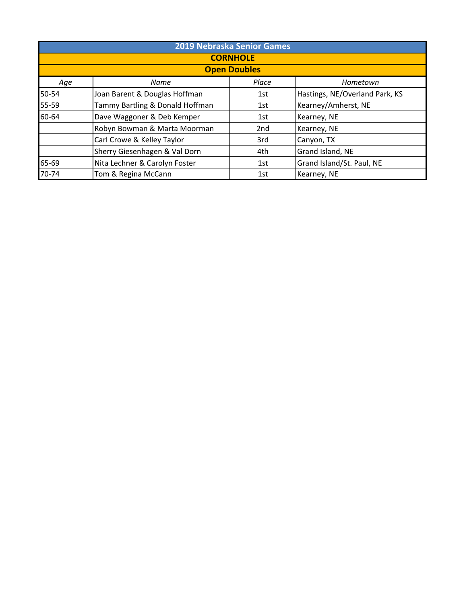| 2019 Nebraska Senior Games |                                 |       |                                |  |  |  |
|----------------------------|---------------------------------|-------|--------------------------------|--|--|--|
|                            | <b>CORNHOLE</b>                 |       |                                |  |  |  |
|                            | <b>Open Doubles</b>             |       |                                |  |  |  |
| Age                        | Name                            | Place | Hometown                       |  |  |  |
| 50-54                      | Joan Barent & Douglas Hoffman   | 1st   | Hastings, NE/Overland Park, KS |  |  |  |
| 55-59                      | Tammy Bartling & Donald Hoffman | 1st   | Kearney/Amherst, NE            |  |  |  |
| 60-64                      | Dave Waggoner & Deb Kemper      | 1st   | Kearney, NE                    |  |  |  |
|                            | Robyn Bowman & Marta Moorman    | 2nd   | Kearney, NE                    |  |  |  |
|                            | Carl Crowe & Kelley Taylor      | 3rd   | Canyon, TX                     |  |  |  |
|                            | Sherry Giesenhagen & Val Dorn   | 4th   | Grand Island, NE               |  |  |  |
| 65-69                      | Nita Lechner & Carolyn Foster   | 1st   | Grand Island/St. Paul, NE      |  |  |  |
| 70-74                      | Tom & Regina McCann             | 1st   | Kearney, NE                    |  |  |  |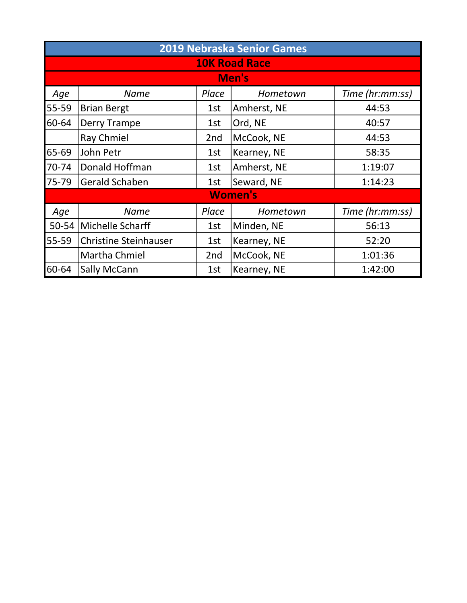| <b>2019 Nebraska Senior Games</b> |                              |                 |                |                 |  |
|-----------------------------------|------------------------------|-----------------|----------------|-----------------|--|
|                                   | <b>10K Road Race</b>         |                 |                |                 |  |
|                                   |                              |                 | Men's          |                 |  |
| Age                               | <b>Name</b>                  | Place           | Hometown       | Time (hr:mm:ss) |  |
| 55-59                             | <b>Brian Bergt</b>           | 1st             | Amherst, NE    | 44:53           |  |
| 60-64                             | Derry Trampe                 | 1st             | Ord, NE        | 40:57           |  |
|                                   | Ray Chmiel                   | 2 <sub>nd</sub> | McCook, NE     | 44:53           |  |
| 65-69                             | John Petr                    | 1st             | Kearney, NE    | 58:35           |  |
| 70-74                             | Donald Hoffman               | 1st             | Amherst, NE    | 1:19:07         |  |
| 75-79                             | Gerald Schaben               | 1st             | Seward, NE     | 1:14:23         |  |
|                                   |                              |                 | <b>Women's</b> |                 |  |
| Age                               | <b>Name</b>                  | Place           | Hometown       | Time (hr:mm:ss) |  |
| 50-54                             | Michelle Scharff             | 1st             | Minden, NE     | 56:13           |  |
| 55-59                             | <b>Christine Steinhauser</b> | 1st             | Kearney, NE    | 52:20           |  |
|                                   | Martha Chmiel                | 2nd             | McCook, NE     | 1:01:36         |  |
| 60-64                             | <b>Sally McCann</b>          | 1st             | Kearney, NE    | 1:42:00         |  |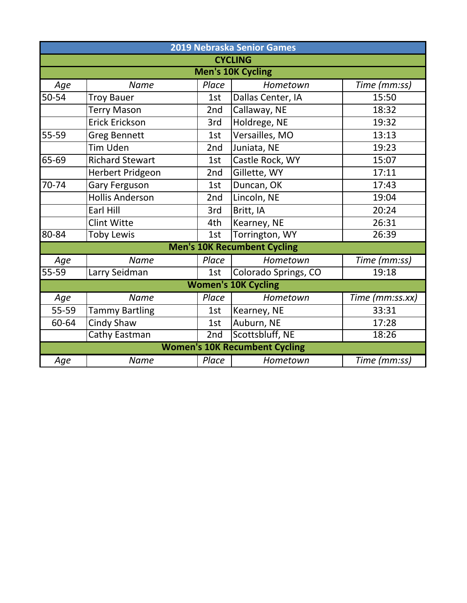|           | 2019 Nebraska Senior Games |       |                                      |                 |  |  |
|-----------|----------------------------|-------|--------------------------------------|-----------------|--|--|
|           |                            |       | <b>CYCLING</b>                       |                 |  |  |
|           |                            |       | <b>Men's 10K Cycling</b>             |                 |  |  |
| Age       | <b>Name</b>                | Place | Hometown                             | Time (mm:ss)    |  |  |
| 50-54     | <b>Troy Bauer</b>          | 1st   | Dallas Center, IA                    | 15:50           |  |  |
|           | <b>Terry Mason</b>         | 2nd   | Callaway, NE                         | 18:32           |  |  |
|           | <b>Erick Erickson</b>      | 3rd   | Holdrege, NE                         | 19:32           |  |  |
| 55-59     | <b>Greg Bennett</b>        | 1st   | Versailles, MO                       | 13:13           |  |  |
|           | <b>Tim Uden</b>            | 2nd   | Juniata, NE                          | 19:23           |  |  |
| 65-69     | <b>Richard Stewart</b>     | 1st   | Castle Rock, WY                      | 15:07           |  |  |
|           | Herbert Pridgeon           | 2nd   | Gillette, WY                         | 17:11           |  |  |
| 70-74     | <b>Gary Ferguson</b>       | 1st   | Duncan, OK                           | 17:43           |  |  |
|           | <b>Hollis Anderson</b>     | 2nd   | Lincoln, NE                          | 19:04           |  |  |
|           | Earl Hill                  | 3rd   | Britt, IA                            | 20:24           |  |  |
|           | <b>Clint Witte</b>         | 4th   | Kearney, NE                          | 26:31           |  |  |
| $80 - 84$ | <b>Toby Lewis</b>          | 1st   | Torrington, WY                       | 26:39           |  |  |
|           |                            |       | <b>Men's 10K Recumbent Cycling</b>   |                 |  |  |
| Age       | <b>Name</b>                | Place | Hometown                             | Time (mm:ss)    |  |  |
| $55 - 59$ | Larry Seidman              | 1st   | Colorado Springs, CO                 | 19:18           |  |  |
|           |                            |       | <b>Women's 10K Cycling</b>           |                 |  |  |
| Age       | <b>Name</b>                | Place | Hometown                             | Time (mm:ss.xx) |  |  |
| 55-59     | <b>Tammy Bartling</b>      | 1st   | Kearney, NE                          | 33:31           |  |  |
| 60-64     | <b>Cindy Shaw</b>          | 1st   | Auburn, NE                           | 17:28           |  |  |
|           | Cathy Eastman              | 2nd   | Scottsbluff, NE                      | 18:26           |  |  |
|           |                            |       | <b>Women's 10K Recumbent Cycling</b> |                 |  |  |
| Age       | <b>Name</b>                | Place | Hometown                             | Time (mm:ss)    |  |  |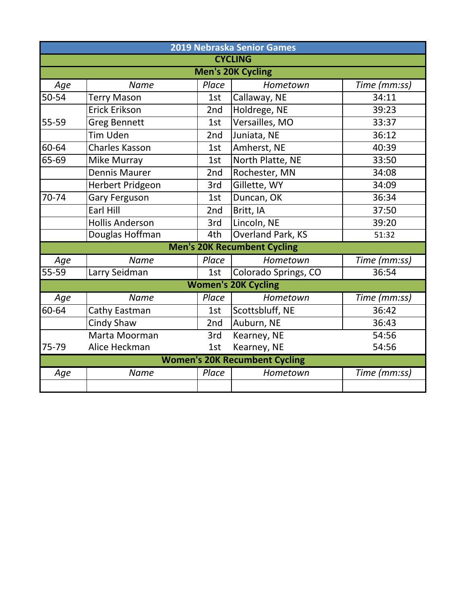| 2019 Nebraska Senior Games           |                        |       |                                    |              |  |  |
|--------------------------------------|------------------------|-------|------------------------------------|--------------|--|--|
|                                      | <b>CYCLING</b>         |       |                                    |              |  |  |
|                                      |                        |       | <b>Men's 20K Cycling</b>           |              |  |  |
| Age                                  | <b>Name</b>            | Place | Hometown                           | Time (mm:ss) |  |  |
| 50-54                                | <b>Terry Mason</b>     | 1st   | Callaway, NE                       | 34:11        |  |  |
|                                      | <b>Erick Erikson</b>   | 2nd   | Holdrege, NE                       | 39:23        |  |  |
| 55-59                                | <b>Greg Bennett</b>    | 1st   | Versailles, MO                     | 33:37        |  |  |
|                                      | Tim Uden               | 2nd   | Juniata, NE                        | 36:12        |  |  |
| 60-64                                | <b>Charles Kasson</b>  | 1st   | Amherst, NE                        | 40:39        |  |  |
| 65-69                                | Mike Murray            | 1st   | North Platte, NE                   | 33:50        |  |  |
|                                      | <b>Dennis Maurer</b>   | 2nd   | Rochester, MN                      | 34:08        |  |  |
|                                      | Herbert Pridgeon       | 3rd   | Gillette, WY                       | 34:09        |  |  |
| 70-74                                | <b>Gary Ferguson</b>   | 1st   | Duncan, OK                         | 36:34        |  |  |
|                                      | Earl Hill              | 2nd   | Britt, IA                          | 37:50        |  |  |
|                                      | <b>Hollis Anderson</b> | 3rd   | Lincoln, NE                        | 39:20        |  |  |
|                                      | Douglas Hoffman        | 4th   | <b>Overland Park, KS</b>           | 51:32        |  |  |
|                                      |                        |       | <b>Men's 20K Recumbent Cycling</b> |              |  |  |
| Age                                  | Name                   | Place | Hometown                           | Time (mm:ss) |  |  |
| $55 - 59$                            | Larry Seidman          | 1st   | Colorado Springs, CO               | 36:54        |  |  |
|                                      |                        |       | <b>Women's 20K Cycling</b>         |              |  |  |
| Age                                  | <b>Name</b>            | Place | Hometown                           | Time (mm:ss) |  |  |
| 60-64                                | Cathy Eastman          | 1st   | Scottsbluff, NE                    | 36:42        |  |  |
|                                      | <b>Cindy Shaw</b>      | 2nd   | Auburn, NE                         | 36:43        |  |  |
|                                      | Marta Moorman          | 3rd   | Kearney, NE                        | 54:56        |  |  |
| 75-79                                | Alice Heckman          | 1st   | Kearney, NE                        | 54:56        |  |  |
| <b>Women's 20K Recumbent Cycling</b> |                        |       |                                    |              |  |  |
| Age                                  | <b>Name</b>            | Place | Hometown                           | Time (mm:ss) |  |  |
|                                      |                        |       |                                    |              |  |  |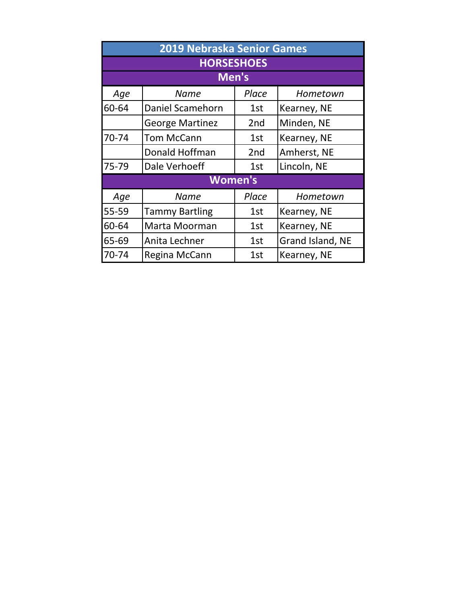| 2019 Nebraska Senior Games |                        |                 |                  |  |  |  |
|----------------------------|------------------------|-----------------|------------------|--|--|--|
|                            | <b>HORSESHOES</b>      |                 |                  |  |  |  |
|                            | Men's                  |                 |                  |  |  |  |
| Age                        | <b>Name</b>            | Place           | Hometown         |  |  |  |
| 60-64                      | Daniel Scamehorn       | 1st             | Kearney, NE      |  |  |  |
|                            | <b>George Martinez</b> | 2 <sub>nd</sub> | Minden, NE       |  |  |  |
| 70-74                      | <b>Tom McCann</b>      | 1st             | Kearney, NE      |  |  |  |
|                            | Donald Hoffman         | 2 <sub>nd</sub> | Amherst, NE      |  |  |  |
| 75-79                      | Dale Verhoeff          | 1st             | Lincoln, NE      |  |  |  |
|                            | <b>Women's</b>         |                 |                  |  |  |  |
| Age                        | <b>Name</b>            | Place           | Hometown         |  |  |  |
| 55-59                      | <b>Tammy Bartling</b>  | 1st             | Kearney, NE      |  |  |  |
| 60-64                      | Marta Moorman          | 1st             | Kearney, NE      |  |  |  |
| 65-69                      | Anita Lechner          | 1st             | Grand Island, NE |  |  |  |
| 70-74                      | Regina McCann          | 1st             | Kearney, NE      |  |  |  |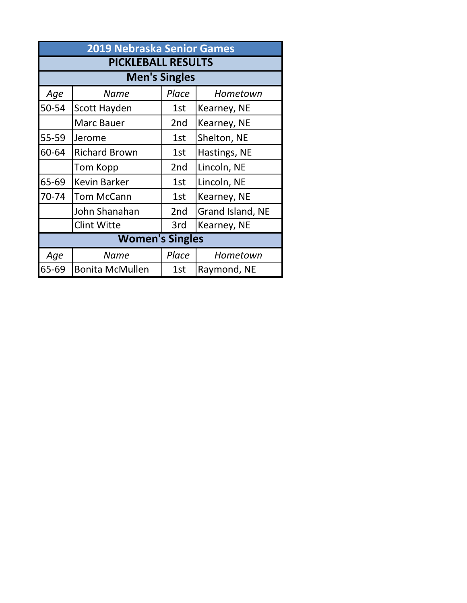| <b>2019 Nebraska Senior Games</b> |                        |                 |                  |  |  |  |
|-----------------------------------|------------------------|-----------------|------------------|--|--|--|
| <b>PICKLEBALL RESULTS</b>         |                        |                 |                  |  |  |  |
|                                   | <b>Men's Singles</b>   |                 |                  |  |  |  |
| Age                               | Name                   | Place           | Hometown         |  |  |  |
| 50-54                             | Scott Hayden           | 1st             | Kearney, NE      |  |  |  |
|                                   | Marc Bauer             | 2 <sub>nd</sub> | Kearney, NE      |  |  |  |
| 55-59                             | Jerome                 | 1st             | Shelton, NE      |  |  |  |
| 60-64                             | <b>Richard Brown</b>   | 1st             | Hastings, NE     |  |  |  |
|                                   | Tom Kopp               | 2 <sub>nd</sub> | Lincoln, NE      |  |  |  |
| 65-69                             | <b>Kevin Barker</b>    | 1st             | Lincoln, NE      |  |  |  |
| 70-74                             | <b>Tom McCann</b>      | 1st             | Kearney, NE      |  |  |  |
|                                   | John Shanahan          | 2 <sub>nd</sub> | Grand Island, NE |  |  |  |
|                                   | <b>Clint Witte</b>     | 3rd             | Kearney, NE      |  |  |  |
| <b>Women's Singles</b>            |                        |                 |                  |  |  |  |
| Age                               | Name                   | Place           | Hometown         |  |  |  |
| 65-69                             | <b>Bonita McMullen</b> | 1st             | Raymond, NE      |  |  |  |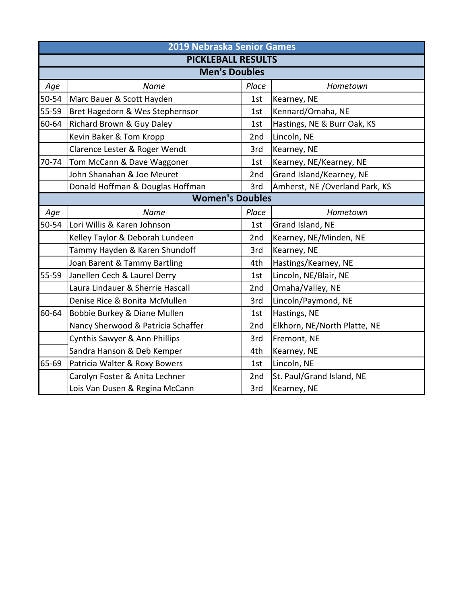|       | 2019 Nebraska Senior Games         |       |                                 |  |  |
|-------|------------------------------------|-------|---------------------------------|--|--|
|       | <b>PICKLEBALL RESULTS</b>          |       |                                 |  |  |
|       | <b>Men's Doubles</b>               |       |                                 |  |  |
| Age   | Name                               | Place | Hometown                        |  |  |
| 50-54 | Marc Bauer & Scott Hayden          | 1st   | Kearney, NE                     |  |  |
| 55-59 | Bret Hagedorn & Wes Stephernsor    | 1st   | Kennard/Omaha, NE               |  |  |
| 60-64 | Richard Brown & Guy Daley          | 1st   | Hastings, NE & Burr Oak, KS     |  |  |
|       | Kevin Baker & Tom Kropp            | 2nd   | Lincoln, NE                     |  |  |
|       | Clarence Lester & Roger Wendt      | 3rd   | Kearney, NE                     |  |  |
| 70-74 | Tom McCann & Dave Waggoner         | 1st   | Kearney, NE/Kearney, NE         |  |  |
|       | John Shanahan & Joe Meuret         | 2nd   | Grand Island/Kearney, NE        |  |  |
|       | Donald Hoffman & Douglas Hoffman   | 3rd   | Amherst, NE / Overland Park, KS |  |  |
|       | <b>Women's Doubles</b>             |       |                                 |  |  |
| Age   | Name                               | Place | Hometown                        |  |  |
| 50-54 | Lori Willis & Karen Johnson        | 1st   | Grand Island, NE                |  |  |
|       | Kelley Taylor & Deborah Lundeen    | 2nd   | Kearney, NE/Minden, NE          |  |  |
|       | Tammy Hayden & Karen Shundoff      | 3rd   | Kearney, NE                     |  |  |
|       | Joan Barent & Tammy Bartling       | 4th   | Hastings/Kearney, NE            |  |  |
| 55-59 | Janellen Cech & Laurel Derry       | 1st   | Lincoln, NE/Blair, NE           |  |  |
|       | Laura Lindauer & Sherrie Hascall   | 2nd   | Omaha/Valley, NE                |  |  |
|       | Denise Rice & Bonita McMullen      | 3rd   | Lincoln/Paymond, NE             |  |  |
| 60-64 | Bobbie Burkey & Diane Mullen       | 1st   | Hastings, NE                    |  |  |
|       | Nancy Sherwood & Patricia Schaffer | 2nd   | Elkhorn, NE/North Platte, NE    |  |  |
|       | Cynthis Sawyer & Ann Phillips      | 3rd   | Fremont, NE                     |  |  |
|       | Sandra Hanson & Deb Kemper         | 4th   | Kearney, NE                     |  |  |
| 65-69 | Patricia Walter & Roxy Bowers      | 1st   | Lincoln, NE                     |  |  |
|       | Carolyn Foster & Anita Lechner     | 2nd   | St. Paul/Grand Island, NE       |  |  |
|       | Lois Van Dusen & Regina McCann     | 3rd   | Kearney, NE                     |  |  |